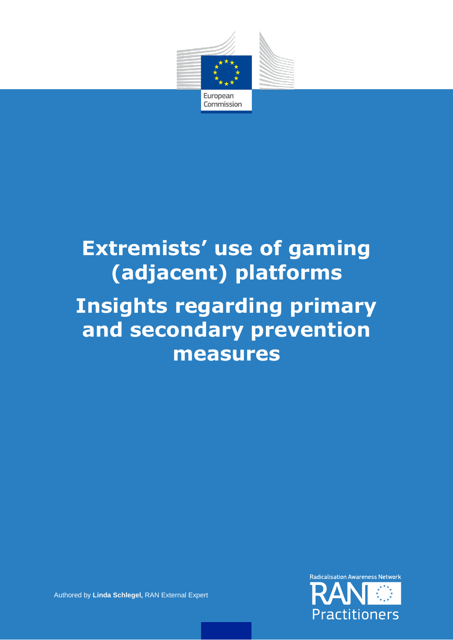

# **Extremists' use of gaming (adjacent) platforms Insights regarding primary and secondary prevention measures**



Authored by **Linda Schlegel,** RAN External Expert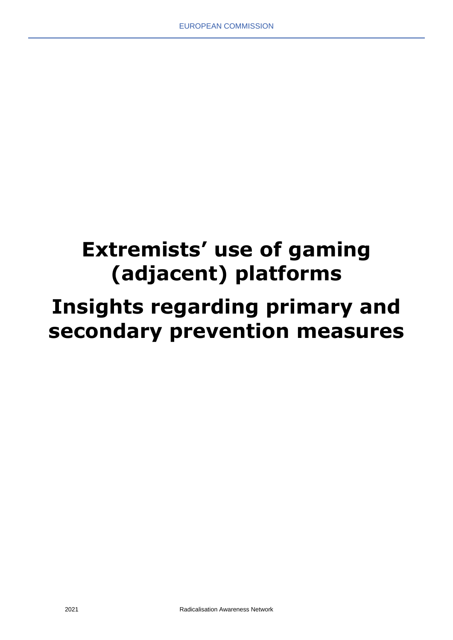# **Extremists' use of gaming (adjacent) platforms Insights regarding primary and secondary prevention measures**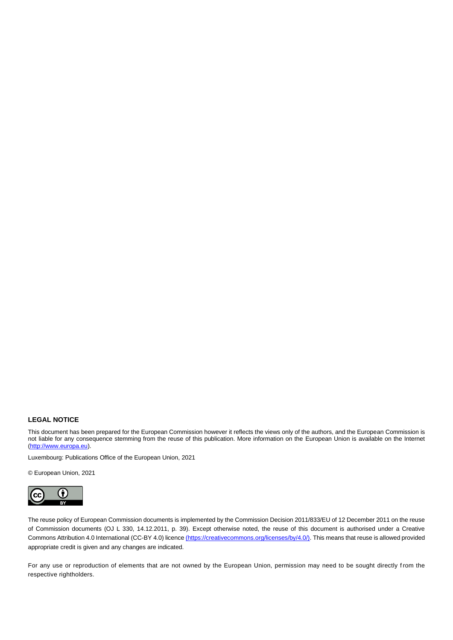#### **LEGAL NOTICE**

This document has been prepared for the European Commission however it reflects the views only of the authors, and the European Commission is not liable for any consequence stemming from the reuse of this publication. More information on the European Union is available on the Internet [\(http://www.europa.eu\)](http://www.europa.eu/).

Luxembourg: Publications Office of the European Union, 2021

© European Union, 2021



The reuse policy of European Commission documents is implemented by the Commission Decision 2011/833/EU of 12 December 2011 on the reuse of Commission documents (OJ L 330, 14.12.2011, p. 39). Except otherwise noted, the reuse of this document is authorised under a Creative Commons Attribution 4.0 International (CC-BY 4.0) licenc[e \(https://creativecommons.org/licenses/by/4.0/\).](file://///net1.cec.eu.int/COMM/A/A1/Visual%20Communication/01_Visual%20Identity/04%20CORPORATE%20TEMPLATES/Word%20template/Rapport_template%20Word/(https:/creativecommons.org/licenses/by/4.0/)) This means that reuse is allowed provided appropriate credit is given and any changes are indicated.

For any use or reproduction of elements that are not owned by the European Union, permission may need to be sought directly from the respective rightholders.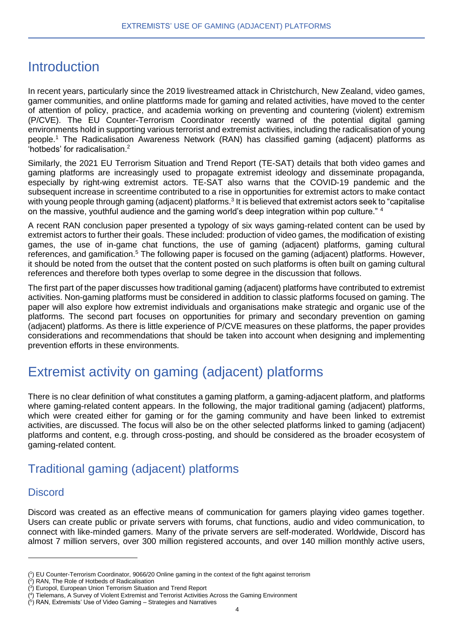# Introduction

In recent years, particularly since the 2019 livestreamed attack in Christchurch, New Zealand, video games, gamer communities, and online plattforms made for gaming and related activities, have moved to the center of attention of policy, practice, and academia working on preventing and countering (violent) extremism (P/CVE). The EU Counter-Terrorism Coordinator recently warned of the potential digital gaming environments hold in supporting various terrorist and extremist activities, including the radicalisation of young people. <sup>1</sup> The Radicalisation Awareness Network (RAN) has classified gaming (adjacent) platforms as 'hotbeds' for radicalisation. 2

Similarly, the 2021 EU Terrorism Situation and Trend Report (TE-SAT) details that both video games and gaming platforms are increasingly used to propagate extremist ideology and disseminate propaganda, especially by right-wing extremist actors. TE-SAT also warns that the COVID-19 pandemic and the subsequent increase in screentime contributed to a rise in opportunities for extremist actors to make contact with young people through gaming (adjacent) platforms.<sup>3</sup> It is believed that extremist actors seek to "capitalise on the massive, youthful audience and the gaming world's deep integration within pop culture." <sup>4</sup>

A recent RAN conclusion paper presented a typology of six ways gaming-related content can be used by extremist actors to further their goals. These included: production of video games, the modification of existing games, the use of in-game chat functions, the use of gaming (adjacent) platforms, gaming cultural references, and gamification.<sup>5</sup> The following paper is focused on the gaming (adjacent) platforms. However, it should be noted from the outset that the content posted on such platforms is often built on gaming cultural references and therefore both types overlap to some degree in the discussion that follows.

The first part of the paper discusses how traditional gaming (adjacent) platforms have contributed to extremist activities. Non-gaming platforms must be considered in addition to classic platforms focused on gaming. The paper will also explore how extremist individuals and organisations make strategic and organic use of the platforms. The second part focuses on opportunities for primary and secondary prevention on gaming (adjacent) platforms. As there is little experience of P/CVE measures on these platforms, the paper provides considerations and recommendations that should be taken into account when designing and implementing prevention efforts in these environments.

# Extremist activity on gaming (adjacent) platforms

There is no clear definition of what constitutes a gaming platform, a gaming-adjacent platform, and platforms where gaming-related content appears. In the following, the major traditional gaming (adjacent) platforms, which were created either for gaming or for the gaming community and have been linked to extremist activities, are discussed. The focus will also be on the other selected platforms linked to gaming (adjacent) platforms and content, e.g. through cross-posting, and should be considered as the broader ecosystem of gaming-related content.

## Traditional gaming (adjacent) platforms

## **Discord**

Discord was created as an effective means of communication for gamers playing video games together. Users can create public or private servers with forums, chat functions, audio and video communication, to connect with like-minded gamers. Many of the private servers are self-moderated. Worldwide, Discord has almost 7 million servers, over 300 million registered accounts, and over 140 million monthly active users,

<sup>(</sup> 1 ) EU Counter-Terrorism Coordinator, 9066/20 Online gaming in the context of the fight against terrorism

<sup>(</sup> 2 ) RAN, The Role of Hotbeds of Radicalisation

<sup>(</sup> 3 ) Europol, European Union Terrorism Situation and Trend Report

<sup>(</sup> 4 ) Tielemans, A Survey of Violent Extremist and Terrorist Activities Across the Gaming Environment

<sup>(</sup> 5 ) RAN, Extremists' Use of Video Gaming – Strategies and Narratives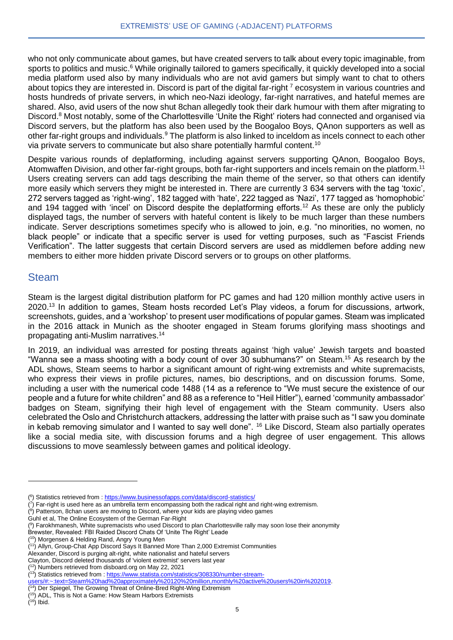who not only communicate about games, but have created servers to talk about every topic imaginable, from sports to politics and music.<sup>6</sup> While originally tailored to gamers specifically, it quickly developed into a social media platform used also by many individuals who are not avid gamers but simply want to chat to others about topics they are interested in. Discord is part of the digital far-right  $\frac{7}{1}$  ecosystem in various countries and hosts hundreds of private servers, in which neo-Nazi ideology, far-right narratives, and hateful memes are shared. Also, avid users of the now shut 8chan allegedly took their dark humour with them after migrating to Discord.<sup>8</sup> Most notably, some of the Charlottesville 'Unite the Right' rioters had connected and organised via Discord servers, but the platform has also been used by the Boogaloo Boys, QAnon supporters as well as other far-right groups and individuals.<sup>9</sup> The platform is also linked to inceldom as incels connect to each other via private servers to communicate but also share potentially harmful content.<sup>10</sup>

Despite various rounds of deplatforming, including against servers supporting QAnon, Boogaloo Boys, Atomwaffen Division, and other far-right groups, both far-right supporters and incels remain on the platform.<sup>11</sup> Users creating servers can add tags describing the main theme of the server, so that others can identify more easily which servers they might be interested in. There are currently 3 634 servers with the tag 'toxic', 272 servers tagged as 'right-wing', 182 tagged with 'hate', 222 tagged as 'Nazi', 177 tagged as 'homophobic' and 194 tagged with 'incel' on Discord despite the deplatforming efforts.<sup>12</sup> As these are only the publicly displayed tags, the number of servers with hateful content is likely to be much larger than these numbers indicate. Server descriptions sometimes specify who is allowed to join, e.g. "no minorities, no women, no black people" or indicate that a specific server is used for vetting purposes, such as "Fascist Friends Verification". The latter suggests that certain Discord servers are used as middlemen before adding new members to either more hidden private Discord servers or to groups on other platforms.

#### Steam

Steam is the largest digital distribution platform for PC games and had 120 million monthly active users in 2020.<sup>13</sup> In addition to games, Steam hosts recorded Let's Play videos, a forum for discussions, artwork, screenshots, guides, and a 'workshop' to present user modifications of popular games. Steam was implicated in the 2016 attack in Munich as the shooter engaged in Steam forums glorifying mass shootings and propagating anti-Muslim narratives.<sup>14</sup>

In 2019, an individual was arrested for posting threats against 'high value' Jewish targets and boasted "Wanna see a mass shooting with a body count of over 30 subhumans?" on Steam.<sup>15</sup> As research by the ADL shows, Steam seems to harbor a significant amount of right-wing extremists and white supremacists, who express their views in profile pictures, names, bio descriptions, and on discussion forums. Some, including a user with the numerical code 1488 (14 as a reference to "We must secure the existence of our people and a future for white children" and 88 as a reference to "Heil Hitler"), earned 'community ambassador' badges on Steam, signifying their high level of engagement with the Steam community. Users also celebrated the Oslo and Christchurch attackers, addressing the latter with praise such as "I saw you dominate in kebab removing simulator and I wanted to say well done". <sup>16</sup> Like Discord, Steam also partially operates like a social media site, with discussion forums and a high degree of user engagement. This allows discussions to move seamlessly between games and political ideology.

( 8 ) Patterson, 8chan users are moving to Discord, where your kids are playing video games

<sup>&</sup>lt;sup>(6</sup>) Statistics retrieved from [: https://www.businessofapps.com/data/discord-statistics/](https://www.businessofapps.com/data/discord-statistics/)

 $(7)$  Far-right is used here as an umbrella term encompassing both the radical right and right-wing extremism.

Guhl et al, The Online Ecosystem of the German Far-Right

<sup>(</sup> 9 ) Farokhmanesh, White supremacists who used Discord to plan Charlottesville rally may soon lose their anonymity

Brewster, Revealed: FBI Raided Discord Chats Of 'Unite The Right' Leade

<sup>(</sup> <sup>10</sup>) Morgensen & Helding Rand, Angry Young Men ( <sup>11</sup>) Allyn, Group-Chat App Discord Says It Banned More Than 2,000 Extremist Communities

Alexander, Discord is purging alt-right, white nationalist and hateful servers

Clayton, Discord deleted thousands of 'violent extremist' servers last year

<sup>(</sup> <sup>12</sup>) Numbers retrieved from disboard.org on May 22, 2021

<sup>(&</sup>lt;sup>13</sup>) Statistics retrieved from [: https://www.statista.com/statistics/308330/number-stream-](https://www.statista.com/statistics/308330/number-stream-users/#:~:text=Steam%20had%20approximately%20120%20million,monthly%20active%20users%20in%202019)

[users/#:~:text=Steam%20had%20approximately%20120%20million,monthly%20active%20users%20in%202019.](https://www.statista.com/statistics/308330/number-stream-users/#:~:text=Steam%20had%20approximately%20120%20million,monthly%20active%20users%20in%202019)

<sup>(</sup> <sup>14</sup>) Der Spiegel, The Growing Threat of Online-Bred Right-Wing Extremism

<sup>(</sup> <sup>15</sup>) ADL, This is Not a Game: How Steam Harbors Extremists

 $(16)$  Ibid.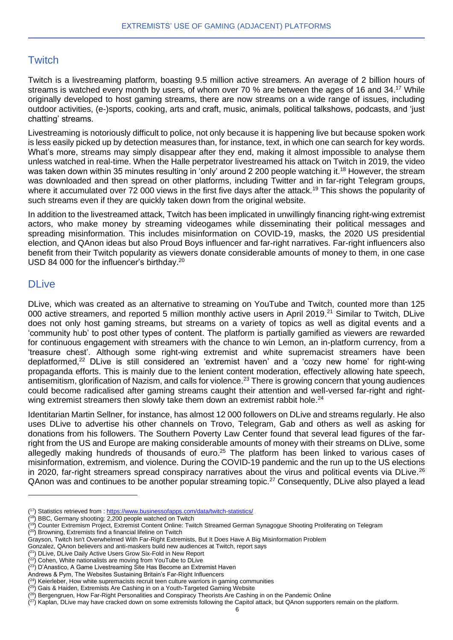## **Twitch**

Twitch is a livestreaming platform, boasting 9.5 million active streamers. An average of 2 billion hours of streams is watched every month by users, of whom over 70 % are between the ages of 16 and 34.<sup>17</sup> While originally developed to host gaming streams, there are now streams on a wide range of issues, including outdoor activities, (e-)sports, cooking, arts and craft, music, animals, political talkshows, podcasts, and 'just chatting' streams.

Livestreaming is notoriously difficult to police, not only because it is happening live but because spoken work is less easily picked up by detection measures than, for instance, text, in which one can search for key words. What's more, streams may simply disappear after they end, making it almost impossible to analyse them unless watched in real-time. When the Halle perpetrator livestreamed his attack on Twitch in 2019, the video was taken down within 35 minutes resulting in 'only' around 2 200 people watching it.<sup>18</sup> However, the stream was downloaded and then spread on other platforms, including Twitter and in far-right Telegram groups, where it accumulated over 72 000 views in the first five days after the attack.<sup>19</sup> This shows the popularity of such streams even if they are quickly taken down from the original website.

In addition to the livestreamed attack, Twitch has been implicated in unwillingly financing right-wing extremist actors, who make money by streaming videogames while disseminating their political messages and spreading misinformation. This includes misinformation on COVID-19, masks, the 2020 US presidential election, and QAnon ideas but also Proud Boys influencer and far-right narratives. Far-right influencers also benefit from their Twitch popularity as viewers donate considerable amounts of money to them, in one case USD 84 000 for the influencer's birthday.<sup>20</sup>

#### **DLive**

DLive, which was created as an alternative to streaming on YouTube and Twitch, counted more than 125 000 active streamers, and reported 5 million monthly active users in April 2019.<sup>21</sup> Similar to Twitch, DLive does not only host gaming streams, but streams on a variety of topics as well as digital events and a 'community hub' to post other types of content. The platform is partially gamified as viewers are rewarded for continuous engagement with streamers with the chance to win Lemon, an in-platform currency, from a 'treasure chest'. Although some right-wing extremist and white supremacist streamers have been deplatformed,<sup>22</sup> DLive is still considered an 'extremist haven' and a 'cozy new home' for right-wing propaganda efforts. This is mainly due to the lenient content moderation, effectively allowing hate speech, antisemitism, glorification of Nazism, and calls for violence.<sup>23</sup> There is growing concern that young audiences could become radicalised after gaming streams caught their attention and well-versed far-right and rightwing extremist streamers then slowly take them down an extremist rabbit hole.<sup>24</sup>

Identitarian Martin Sellner, for instance, has almost 12 000 followers on DLive and streams regularly. He also uses DLive to advertise his other channels on Trovo, Telegram, Gab and others as well as asking for donations from his followers. The Southern Poverty Law Center found that several lead figures of the farright from the US and Europe are making considerable amounts of money with their streams on DLive, some allegedly making hundreds of thousands of euro.<sup>25</sup> The platform has been linked to various cases of misinformation, extremism, and violence. During the COVID-19 pandemic and the run up to the US elections in 2020, far-right streamers spread conspiracy narratives about the virus and political events via DLive.<sup>26</sup> QAnon was and continues to be another popular streaming topic.<sup>27</sup> Consequently, DLive also played a lead

<sup>(&</sup>lt;sup>17</sup>) Statistics retrieved from [: https://www.businessofapps.com/data/twitch-statistics/](https://www.businessofapps.com/data/twitch-statistics/)

<sup>(</sup> <sup>18</sup>) BBC, Germany shooting: 2,200 people watched on Twitch

<sup>&</sup>lt;sup>(19</sup>) Counter Extremism Project, Extremist Content Online: Twitch Streamed German Synagogue Shooting Proliferating on Telegram

 $(20)$  Browning, Extremists find a financial lifeline on Twitch

Grayson, Twitch Isn't Overwhelmed With Far-Right Extremists, But It Does Have A Big Misinformation Problem

Gonzalez, QAnon believers and anti-maskers build new audiences at Twitch, report says

<sup>(&</sup>lt;sup>21</sup>) DLive, DLive Daily Active Users Grow Six-Fold in New Report

<sup>(&</sup>lt;sup>22</sup>) Cohen, White nationalists are moving from YouTube to DLive

<sup>(&</sup>lt;sup>23</sup>) D'Anastico, A Game Livestreaming Site Has Become an Extremist Haven

Andrews & Pym, The Websites Sustaining Britain's Far-Right Influencers

 $(24)$  Keierleber, How white supremacists recruit teen culture warriors in gaming communities

<sup>(&</sup>lt;sup>25</sup>) Gais & Haiden, Extremists Are Cashing in on a Youth-Targeted Gaming Website

<sup>(&</sup>lt;sup>26</sup>) Bergengruen, How Far-Right Personalities and Conspiracy Theorists Are Cashing in on the Pandemic Online

 $(27)$  Kaplan, DLive may have cracked down on some extremists following the Capitol attack, but QAnon supporters remain on the platform.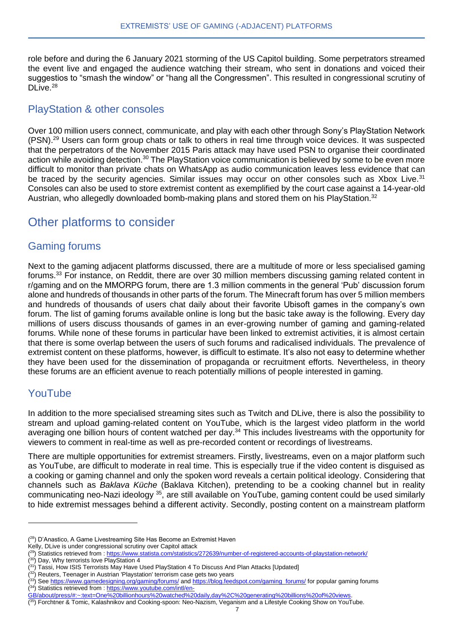role before and during the 6 January 2021 storming of the US Capitol building. Some perpetrators streamed the event live and engaged the audience watching their stream, who sent in donations and voiced their suggestios to "smash the window" or "hang all the Congressmen". This resulted in congressional scrutiny of DLive.<sup>28</sup>

#### PlayStation & other consoles

Over 100 million users connect, communicate, and play with each other through Sony's PlayStation Network (PSN).<sup>29</sup> Users can form group chats or talk to others in real time through voice devices. It was suspected that the perpetrators of the November 2015 Paris attack may have used PSN to organise their coordinated action while avoiding detection.<sup>30</sup> The PlayStation voice communication is believed by some to be even more difficult to monitor than private chats on WhatsApp as audio communication leaves less evidence that can be traced by the security agencies. Similar issues may occur on other consoles such as Xbox Live.<sup>31</sup> Consoles can also be used to store extremist content as exemplified by the court case against a 14-year-old Austrian, who allegedly downloaded bomb-making plans and stored them on his PlayStation.<sup>32</sup>

## Other platforms to consider

#### Gaming forums

Next to the gaming adjacent platforms discussed, there are a multitude of more or less specialised gaming forums.<sup>33</sup> For instance, on Reddit, there are over 30 million members discussing gaming related content in r/gaming and on the MMORPG forum, there are 1.3 million comments in the general 'Pub' discussion forum alone and hundreds of thousands in other parts of the forum. The Minecraft forum has over 5 million members and hundreds of thousands of users chat daily about their favorite Ubisoft games in the company's own forum. The list of gaming forums available online is long but the basic take away is the following. Every day millions of users discuss thousands of games in an ever-growing number of gaming and gaming-related forums. While none of these forums in particular have been linked to extremist activities, it is almost certain that there is some overlap between the users of such forums and radicalised individuals. The prevalence of extremist content on these platforms, however, is difficult to estimate. It's also not easy to determine whether they have been used for the dissemination of propaganda or recruitment efforts. Nevertheless, in theory these forums are an efficient avenue to reach potentially millions of people interested in gaming.

## YouTube

In addition to the more specialised streaming sites such as Twitch and DLive, there is also the possibility to stream and upload gaming-related content on YouTube, which is the largest video platform in the world averaging one billion hours of content watched per day.<sup>34</sup> This includes livestreams with the opportunity for viewers to comment in real-time as well as pre-recorded content or recordings of livestreams.

There are multiple opportunities for extremist streamers. Firstly, livestreams, even on a major platform such as YouTube, are difficult to moderate in real time. This is especially true if the video content is disguised as a cooking or gaming channel and only the spoken word reveals a certain political ideology. Considering that channels such as *Baklava Küche* (Baklava Kitchen), pretending to be a cooking channel but in reality communicating neo-Nazi ideology <sup>35</sup>, are still available on YouTube, gaming content could be used similarly to hide extremist messages behind a different activity. Secondly, posting content on a mainstream platform

<sup>(&</sup>lt;sup>28</sup>) D'Anastico, A Game Livestreaming Site Has Become an Extremist Haven

Kelly, DLive is under congressional scrutiny over Capitol attack

<sup>&</sup>lt;sup>(29</sup>) Statistics retrieved from [: https://www.statista.com/statistics/272639/number-of-registered-accounts-of-playstation-network/](https://www.statista.com/statistics/272639/number-of-registered-accounts-of-playstation-network/)

<sup>(&</sup>lt;sup>30</sup>) Day, Why terrorists love PlayStation 4

<sup>&</sup>lt;sup>(31</sup>) Tassi, How ISIS Terrorists May Have Used PlayStation 4 To Discuss And Plan Attacks [Updated]

<sup>(&</sup>lt;sup>32</sup>) Reuters, Teenager in Austrian 'Playstation' terrorism case gets two years

<sup>&</sup>lt;sup>(33</sup>) Se[e https://www.gamedesigning.org/gaming/forums/](https://www.gamedesigning.org/gaming/forums/) an[d https://blog.feedspot.com/gaming\\_forums/](https://blog.feedspot.com/gaming_forums/) for popular gaming forums (<sup>34</sup>) Statistics retrieved from [: https://www.youtube.com/intl/en-](https://www.youtube.com/intl/en-GB/about/press/#:~:text=One%20billionhours%20watched%20daily,day%2C%20generating%20billions%20of%20views)

[GB/about/press/#:~:text=One%20billionhours%20watched%20daily,day%2C%20generating%20billions%20of%20views.](https://www.youtube.com/intl/en-GB/about/press/#:~:text=One%20billionhours%20watched%20daily,day%2C%20generating%20billions%20of%20views)

<sup>(</sup> 35) Forchtner & Tomic, Kalashnikov and Cooking-spoon: Neo-Nazism, Veganism and a Lifestyle Cooking Show on YouTube.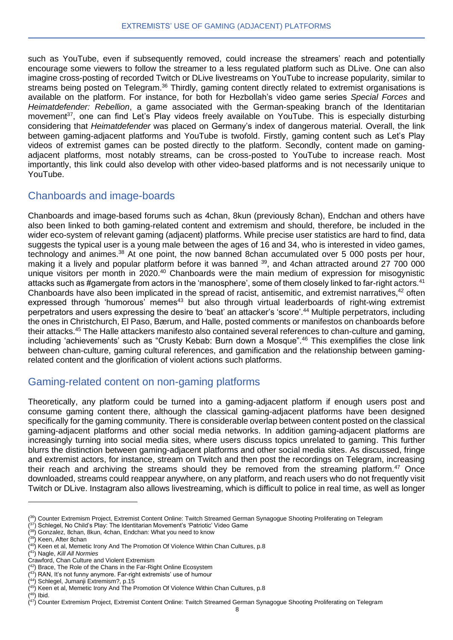such as YouTube, even if subsequently removed, could increase the streamers' reach and potentially encourage some viewers to follow the streamer to a less regulated platform such as DLive. One can also imagine cross-posting of recorded Twitch or DLive livestreams on YouTube to increase popularity, similar to streams being posted on Telegram.<sup>36</sup> Thirdly, gaming content directly related to extremist organisations is available on the platform. For instance, for both for Hezbollah's video game series *Special Forces* and *Heimatdefender: Rebellion*, a game associated with the German-speaking branch of the Identitarian movement<sup>37</sup>, one can find Let's Play videos freely available on YouTube. This is especially disturbing considering that *Heimatdefender* was placed on Germany's index of dangerous material. Overall, the link between gaming-adjacent platforms and YouTube is twofold. Firstly, gaming content such as Let's Play videos of extremist games can be posted directly to the platform. Secondly, content made on gamingadjacent platforms, most notably streams, can be cross-posted to YouTube to increase reach. Most importantly, this link could also develop with other video-based platforms and is not necessarily unique to YouTube.

#### Chanboards and image-boards

Chanboards and image-based forums such as 4chan, 8kun (previously 8chan), Endchan and others have also been linked to both gaming-related content and extremism and should, therefore, be included in the wider eco-system of relevant gaming (adjacent) platforms. While precise user statistics are hard to find, data suggests the typical user is a young male between the ages of 16 and 34, who is interested in video games, technology and animes.<sup>38</sup> At one point, the now banned 8chan accumulated over 5 000 posts per hour, making it a lively and popular platform before it was banned <sup>39</sup>, and 4chan attracted around 27 700 000 unique visitors per month in 2020.<sup>40</sup> Chanboards were the main medium of expression for misogynistic attacks such as #gamergate from actors in the 'manosphere', some of them closely linked to far-right actors.<sup>41</sup> Chanboards have also been implicated in the spread of racist, antisemitic, and extremist narratives,<sup>42</sup> often expressed through 'humorous' memes<sup>43</sup> but also through virtual leaderboards of right-wing extremist perpetrators and users expressing the desire to 'beat' an attacker's 'score'.<sup>44</sup> Multiple perpetrators, including the ones in Christchurch, El Paso, Bærum, and Halle, posted comments or manifestos on chanboards before their attacks.<sup>45</sup> The Halle attackers manifesto also contained several references to chan-culture and gaming, including 'achievements' such as "Crusty Kebab: Burn down a Mosque".<sup>46</sup> This exemplifies the close link between chan-culture, gaming cultural references, and gamification and the relationship between gamingrelated content and the glorification of violent actions such platforms.

#### Gaming-related content on non-gaming platforms

Theoretically, any platform could be turned into a gaming-adjacent platform if enough users post and consume gaming content there, although the classical gaming-adjacent platforms have been designed specifically for the gaming community. There is considerable overlap between content posted on the classical gaming-adjacent platforms and other social media networks. In addition gaming-adjacent platforms are increasingly turning into social media sites, where users discuss topics unrelated to gaming. This further blurrs the distinction between gaming-adjacent platforms and other social media sites. As discussed, fringe and extremist actors, for instance, stream on Twitch and then post the recordings on Telegram, increasing their reach and archiving the streams should they be removed from the streaming platform.<sup>47</sup> Once downloaded, streams could reappear anywhere, on any platform, and reach users who do not frequently visit Twitch or DLive. Instagram also allows livestreaming, which is difficult to police in real time, as well as longer

<sup>&</sup>lt;sup>(36</sup>) Counter Extremism Project, Extremist Content Online: Twitch Streamed German Synagogue Shooting Proliferating on Telegram

<sup>(&</sup>lt;sup>37</sup>) Schlegel, No Child's Play: The Identitarian Movement's 'Patriotic' Video Game

<sup>(</sup> <sup>38</sup>) Gonzalez, 8chan, 8kun, 4chan, Endchan: What you need to know

<sup>(</sup> <sup>39</sup>) Keen, After 8chan

<sup>(</sup> <sup>40</sup>) Keen et al, Memetic Irony And The Promotion Of Violence Within Chan Cultures, p.8

<sup>(</sup> <sup>41</sup>) Nagle, *Kill All Normies*

Crawford, Chan Culture and Violent Extremism

<sup>(&</sup>lt;sup>42</sup>) Brace, The Role of the Chans in the Far-Right Online Ecosystem

<sup>(</sup> <sup>43</sup>) RAN, It's not funny anymore. Far-right extremists' use of humour

<sup>(</sup> <sup>44</sup>) Schlegel, Jumanji Extremism?, p.15

<sup>(</sup> <sup>45</sup>) Keen et al, Memetic Irony And The Promotion Of Violence Within Chan Cultures, p.8

 $(46)$  Ibid.

<sup>&</sup>lt;sup>(47</sup>) Counter Extremism Project, Extremist Content Online: Twitch Streamed German Synagogue Shooting Proliferating on Telegram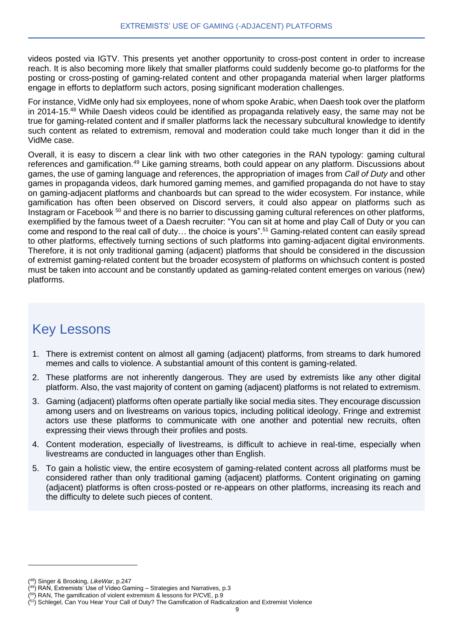videos posted via IGTV. This presents yet another opportunity to cross-post content in order to increase reach. It is also becoming more likely that smaller platforms could suddenly become go-to platforms for the posting or cross-posting of gaming-related content and other propaganda material when larger platforms engage in efforts to deplatform such actors, posing significant moderation challenges.

For instance, VidMe only had six employees, none of whom spoke Arabic, when Daesh took over the platform in 2014-15.<sup>48</sup> While Daesh videos could be identified as propaganda relatively easy, the same may not be true for gaming-related content and if smaller platforms lack the necessary subcultural knowledge to identify such content as related to extremism, removal and moderation could take much longer than it did in the VidMe case.

Overall, it is easy to discern a clear link with two other categories in the RAN typology: gaming cultural references and gamification.<sup>49</sup> Like gaming streams, both could appear on any platform. Discussions about games, the use of gaming language and references, the appropriation of images from *Call of Duty* and other games in propaganda videos, dark humored gaming memes, and gamified propaganda do not have to stay on gaming-adjacent platforms and chanboards but can spread to the wider ecosystem. For instance, while gamification has often been observed on Discord servers, it could also appear on platforms such as Instagram or Facebook <sup>50</sup> and there is no barrier to discussing gaming cultural references on other platforms, exemplified by the famous tweet of a Daesh recruiter: "You can sit at home and play Call of Duty or you can come and respond to the real call of duty… the choice is yours". <sup>51</sup> Gaming-related content can easily spread to other platforms, effectively turning sections of such platforms into gaming-adjacent digital environments. Therefore, it is not only traditional gaming (adjacent) platforms that should be considered in the discussion of extremist gaming-related content but the broader ecosystem of platforms on whichsuch content is posted must be taken into account and be constantly updated as gaming-related content emerges on various (new) platforms.

# Key Lessons

- 1. There is extremist content on almost all gaming (adjacent) platforms, from streams to dark humored memes and calls to violence. A substantial amount of this content is gaming-related.
- 2. These platforms are not inherently dangerous. They are used by extremists like any other digital platform. Also, the vast majority of content on gaming (adjacent) platforms is not related to extremism.
- 3. Gaming (adjacent) platforms often operate partially like social media sites. They encourage discussion among users and on livestreams on various topics, including political ideology. Fringe and extremist actors use these platforms to communicate with one another and potential new recruits, often expressing their views through their profiles and posts.
- 4. Content moderation, especially of livestreams, is difficult to achieve in real-time, especially when livestreams are conducted in languages other than English.
- 5. To gain a holistic view, the entire ecosystem of gaming-related content across all platforms must be considered rather than only traditional gaming (adjacent) platforms. Content originating on gaming (adjacent) platforms is often cross-posted or re-appears on other platforms, increasing its reach and the difficulty to delete such pieces of content.

<sup>(</sup> <sup>48</sup>) Singer & Brooking, *LikeWar*, p.247

<sup>(</sup> <sup>49</sup>) RAN, Extremists' Use of Video Gaming – Strategies and Narratives, p.3 (<sup>50</sup>) RAN, The gamification of violent extremism & lessons for P/CVE, p.9

<sup>&</sup>lt;sup>(51</sup>) Schlegel, Can You Hear Your Call of Duty? The Gamification of Radicalization and Extremist Violence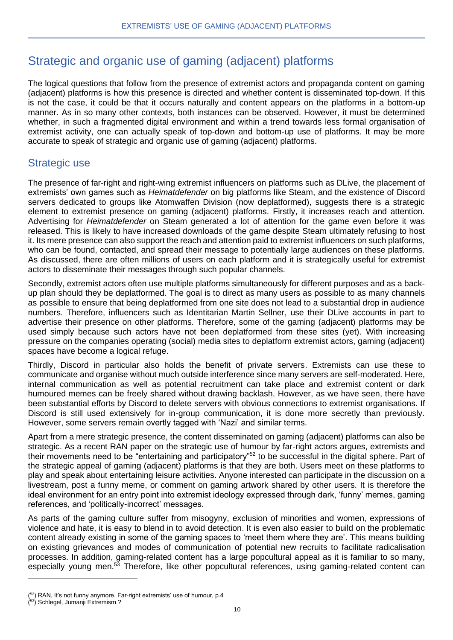## Strategic and organic use of gaming (adjacent) platforms

The logical questions that follow from the presence of extremist actors and propaganda content on gaming (adjacent) platforms is how this presence is directed and whether content is disseminated top-down. If this is not the case, it could be that it occurs naturally and content appears on the platforms in a bottom-up manner. As in so many other contexts, both instances can be observed. However, it must be determined whether, in such a fragmented digital environment and within a trend towards less formal organisation of extremist activity, one can actually speak of top-down and bottom-up use of platforms. It may be more accurate to speak of strategic and organic use of gaming (adjacent) platforms.

## Strategic use

The presence of far-right and right-wing extremist influencers on platforms such as DLive, the placement of extremists' own games such as *Heimatdefender* on big platforms like Steam, and the existence of Discord servers dedicated to groups like Atomwaffen Division (now deplatformed), suggests there is a strategic element to extremist presence on gaming (adjacent) platforms. Firstly, it increases reach and attention. Advertising for *Heimatdefender* on Steam generated a lot of attention for the game even before it was released. This is likely to have increased downloads of the game despite Steam ultimately refusing to host it. Its mere presence can also support the reach and attention paid to extremist influencers on such platforms, who can be found, contacted, and spread their message to potentially large audiences on these platforms. As discussed, there are often millions of users on each platform and it is strategically useful for extremist actors to disseminate their messages through such popular channels.

Secondly, extremist actors often use multiple platforms simultaneously for different purposes and as a backup plan should they be deplatformed. The goal is to direct as many users as possible to as many channels as possible to ensure that being deplatformed from one site does not lead to a substantial drop in audience numbers. Therefore, influencers such as Identitarian Martin Sellner, use their DLive accounts in part to advertise their presence on other platforms. Therefore, some of the gaming (adjacent) platforms may be used simply because such actors have not been deplatformed from these sites (yet). With increasing pressure on the companies operating (social) media sites to deplatform extremist actors, gaming (adjacent) spaces have become a logical refuge.

Thirdly, Discord in particular also holds the benefit of private servers. Extremists can use these to communicate and organise without much outside interference since many servers are self-moderated. Here, internal communication as well as potential recruitment can take place and extremist content or dark humoured memes can be freely shared without drawing backlash. However, as we have seen, there have been substantial efforts by Discord to delete servers with obvious connections to extremist organisations. If Discord is still used extensively for in-group communication, it is done more secretly than previously. However, some servers remain overtly tagged with 'Nazi' and similar terms.

Apart from a mere strategic presence, the content disseminated on gaming (adjacent) platforms can also be strategic. As a recent RAN paper on the strategic use of humour by far-right actors argues, extremists and their movements need to be "entertaining and participatory"<sup>52</sup> to be successful in the digital sphere. Part of the strategic appeal of gaming (adjacent) platforms is that they are both. Users meet on these platforms to play and speak about entertaining leisure activities. Anyone interested can participate in the discussion on a livestream, post a funny meme, or comment on gaming artwork shared by other users. It is therefore the ideal environment for an entry point into extremist ideology expressed through dark, 'funny' memes, gaming references, and 'politically-incorrect' messages.

As parts of the gaming culture suffer from misogyny, exclusion of minorities and women, expressions of violence and hate, it is easy to blend in to avoid detection. It is even also easier to build on the problematic content already existing in some of the gaming spaces to 'meet them where they are'. This means building on existing grievances and modes of communication of potential new recruits to facilitate radicalisation processes. In addition, gaming-related content has a large popcultural appeal as it is familiar to so many, especially young men.<sup>53</sup> Therefore, like other popcultural references, using gaming-related content can

 $(52)$  RAN, It's not funny anymore. Far-right extremists' use of humour, p.4

<sup>(</sup> <sup>53</sup>) Schlegel, Jumanji Extremism ?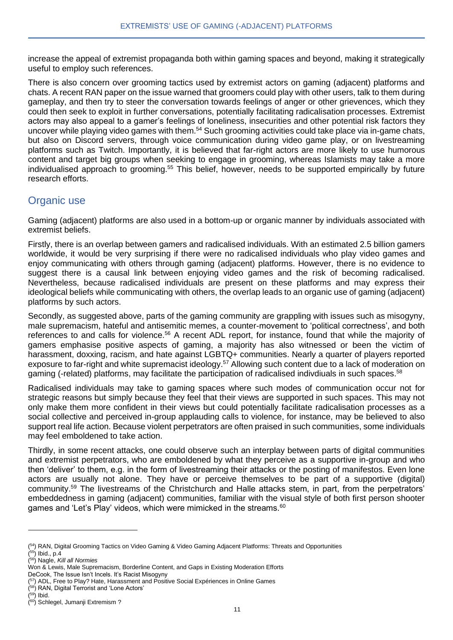increase the appeal of extremist propaganda both within gaming spaces and beyond, making it strategically useful to employ such references.

There is also concern over grooming tactics used by extremist actors on gaming (adjacent) platforms and chats. A recent RAN paper on the issue warned that groomers could play with other users, talk to them during gameplay, and then try to steer the conversation towards feelings of anger or other grievences, which they could then seek to exploit in further conversations, potentially facilitating radicalisation processes. Extremist actors may also appeal to a gamer's feelings of loneliness, insecurities and other potential risk factors they uncover while playing video games with them.<sup>54</sup> Such grooming activities could take place via in-game chats, but also on Discord servers, through voice communication during video game play, or on livestreaming platforms such as Twitch. Importantly, it is believed that far-right actors are more likely to use humorous content and target big groups when seeking to engage in grooming, whereas Islamists may take a more individualised approach to grooming.<sup>55</sup> This belief, however, needs to be supported empirically by future research efforts.

#### Organic use

Gaming (adjacent) platforms are also used in a bottom-up or organic manner by individuals associated with extremist beliefs.

Firstly, there is an overlap between gamers and radicalised individuals. With an estimated 2.5 billion gamers worldwide, it would be very surprising if there were no radicalised individuals who play video games and enjoy communicating with others through gaming (adjacent) platforms. However, there is no evidence to suggest there is a causal link between enjoying video games and the risk of becoming radicalised. Nevertheless, because radicalised individuals are present on these platforms and may express their ideological beliefs while communicating with others, the overlap leads to an organic use of gaming (adjacent) platforms by such actors.

Secondly, as suggested above, parts of the gaming community are grappling with issues such as misogyny, male supremacism, hateful and antisemitic memes, a counter-movement to 'political correctness', and both references to and calls for violence.<sup>56</sup> A recent ADL report, for instance, found that while the majority of gamers emphasise positive aspects of gaming, a majority has also witnessed or been the victim of harassment, doxxing, racism, and hate against LGBTQ+ communities. Nearly a quarter of players reported exposure to far-right and white supremacist ideology.<sup>57</sup> Allowing such content due to a lack of moderation on gaming (-related) platforms, may facilitate the participation of radicalised indivdiuals in such spaces.<sup>58</sup>

Radicalised individuals may take to gaming spaces where such modes of communication occur not for strategic reasons but simply because they feel that their views are supported in such spaces. This may not only make them more confident in their views but could potentially facilitate radicalisation processes as a social collective and perceived in-group applauding calls to violence, for instance, may be believed to also support real life action. Because violent perpetrators are often praised in such communities, some individuals may feel emboldened to take action.

Thirdly, in some recent attacks, one could observe such an interplay between parts of digital communities and extremist perpetrators, who are emboldened by what they perceive as a supportive in-group and who then 'deliver' to them, e.g. in the form of livestreaming their attacks or the posting of manifestos. Even lone actors are usually not alone. They have or perceive themselves to be part of a supportive (digital) community.<sup>59</sup> The livestreams of the Christchurch and Halle attacks stem, in part, from the perpetrators' embeddedness in gaming (adjacent) communities, familiar with the visual style of both first person shooter games and 'Let's Play' videos, which were mimicked in the streams. $60$ 

<sup>&</sup>lt;sup>(54</sup>) RAN, Digital Grooming Tactics on Video Gaming & Video Gaming Adjacent Platforms: Threats and Opportunities ( <sup>55</sup>) Ibid., p.4

<sup>(</sup> <sup>56</sup>) Nagle, *Kill all Normies*

Won & Lewis, Male Supremacism, Borderline Content, and Gaps in Existing Moderation Efforts

DeCook, The Issue Isn't Incels. It's Racist Misogyny

<sup>&</sup>lt;sup>(57</sup>) ADL, Free to Play? Hate, Harassment and Positive Social Expériences in Online Games

<sup>(</sup> <sup>58</sup>) RAN, Digital Terrorist and 'Lone Actors'

 $(59)$  Ibid.

<sup>(</sup> <sup>60</sup>) Schlegel, Jumanji Extremism ?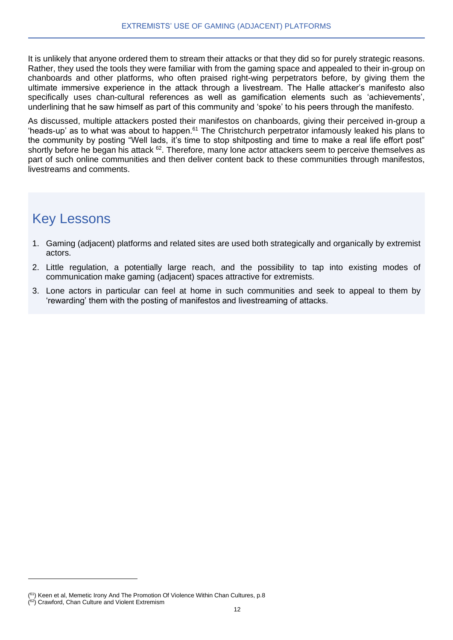It is unlikely that anyone ordered them to stream their attacks or that they did so for purely strategic reasons. Rather, they used the tools they were familiar with from the gaming space and appealed to their in-group on chanboards and other platforms, who often praised right-wing perpetrators before, by giving them the ultimate immersive experience in the attack through a livestream. The Halle attacker's manifesto also specifically uses chan-cultural references as well as gamification elements such as 'achievements', underlining that he saw himself as part of this community and 'spoke' to his peers through the manifesto.

As discussed, multiple attackers posted their manifestos on chanboards, giving their perceived in-group a 'heads-up' as to what was about to happen.<sup>61</sup> The Christchurch perpetrator infamously leaked his plans to the community by posting "Well lads, it's time to stop shitposting and time to make a real life effort post" shortly before he began his attack <sup>62</sup>. Therefore, many lone actor attackers seem to perceive themselves as part of such online communities and then deliver content back to these communities through manifestos, livestreams and comments.

# Key Lessons

- 1. Gaming (adjacent) platforms and related sites are used both strategically and organically by extremist actors.
- 2. Little regulation, a potentially large reach, and the possibility to tap into existing modes of communication make gaming (adjacent) spaces attractive for extremists.
- 3. Lone actors in particular can feel at home in such communities and seek to appeal to them by 'rewarding' them with the posting of manifestos and livestreaming of attacks.

<sup>&</sup>lt;sup>(61</sup>) Keen et al, Memetic Irony And The Promotion Of Violence Within Chan Cultures, p.8

<sup>(&</sup>lt;sup>62</sup>) Crawford, Chan Culture and Violent Extremism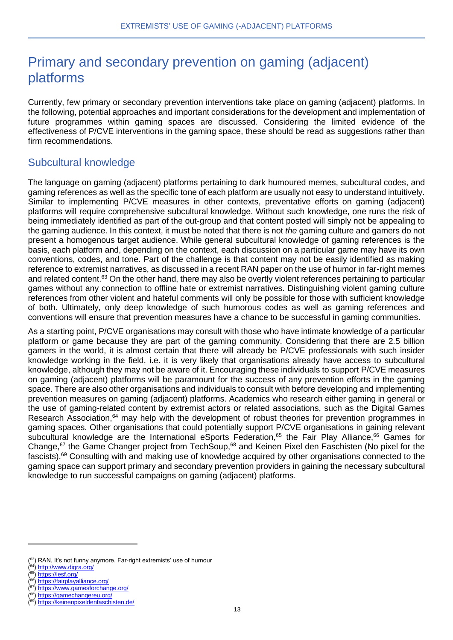# Primary and secondary prevention on gaming (adjacent) platforms

Currently, few primary or secondary prevention interventions take place on gaming (adjacent) platforms. In the following, potential approaches and important considerations for the development and implementation of future programmes within gaming spaces are discussed. Considering the limited evidence of the effectiveness of P/CVE interventions in the gaming space, these should be read as suggestions rather than firm recommendations.

## Subcultural knowledge

The language on gaming (adjacent) platforms pertaining to dark humoured memes, subcultural codes, and gaming references as well as the specific tone of each platform are usually not easy to understand intuitively. Similar to implementing P/CVE measures in other contexts, preventative efforts on gaming (adjacent) platforms will require comprehensive subcultural knowledge. Without such knowledge, one runs the risk of being immediately identified as part of the out-group and that content posted will simply not be appealing to the gaming audience. In this context, it must be noted that there is not *the* gaming culture and gamers do not present a homogenous target audience. While general subcultural knowledge of gaming references is the basis, each platform and, depending on the context, each discussion on a particular game may have its own conventions, codes, and tone. Part of the challenge is that content may not be easily identified as making reference to extremist narratives, as discussed in a recent RAN paper on the use of humor in far-right memes and related content.<sup>63</sup> On the other hand, there may also be overtly violent references pertaining to particular games without any connection to offline hate or extremist narratives. Distinguishing violent gaming culture references from other violent and hateful comments will only be possible for those with sufficient knowledge of both. Ultimately, only deep knowledge of such humorous codes as well as gaming references and conventions will ensure that prevention measures have a chance to be successful in gaming communities.

As a starting point, P/CVE organisations may consult with those who have intimate knowledge of a particular platform or game because they are part of the gaming community. Considering that there are 2.5 billion gamers in the world, it is almost certain that there will already be P/CVE professionals with such insider knowledge working in the field, i.e. it is very likely that organisations already have access to subcultural knowledge, although they may not be aware of it. Encouraging these individuals to support P/CVE measures on gaming (adjacent) platforms will be paramount for the success of any prevention efforts in the gaming space. There are also other organisations and individuals to consult with before developing and implementing prevention measures on gaming (adjacent) platforms. Academics who research either gaming in general or the use of gaming-related content by extremist actors or related associations, such as the Digital Games Research Association,<sup>64</sup> may help with the development of robust theories for prevention programmes in gaming spaces. Other organisations that could potentially support P/CVE organisations in gaining relevant subcultural knowledge are the International eSports Federation.<sup>65</sup> the Fair Play Alliance,<sup>66</sup> Games for Change,<sup>67</sup> the Game Changer project from TechSoup,<sup>68</sup> and Keinen Pixel den Faschisten (No pixel for the fascists).<sup>69</sup> Consulting with and making use of knowledge acquired by other organisations connected to the gaming space can support primary and secondary prevention providers in gaining the necessary subcultural knowledge to run successful campaigns on gaming (adjacent) platforms.

(65)<https://iesf.org/>

<sup>(&</sup>lt;sup>63</sup>) RAN, It's not funny anymore. Far-right extremists' use of humour

<sup>(64)</sup><http://www.digra.org/>

<sup>(66)</sup><https://fairplayalliance.org/>

<sup>(&</sup>lt;sup>67</sup>)<https://www.gamesforchange.org/>

<sup>(68)</sup><https://gamechangereu.org/>

<sup>(69)</sup><https://keinenpixeldenfaschisten.de/>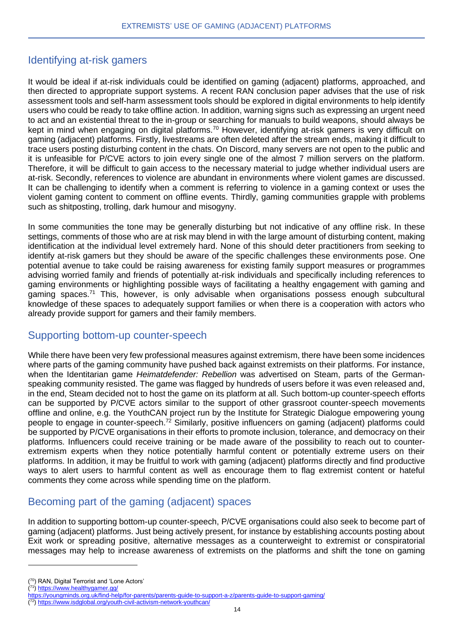## Identifying at-risk gamers

It would be ideal if at-risk individuals could be identified on gaming (adjacent) platforms, approached, and then directed to appropriate support systems. A recent RAN conclusion paper advises that the use of risk assessment tools and self-harm assessment tools should be explored in digital environments to help identify users who could be ready to take offline action. In addition, warning signs such as expressing an urgent need to act and an existential threat to the in-group or searching for manuals to build weapons, should always be kept in mind when engaging on digital platforms.<sup>70</sup> However, identifying at-risk gamers is very difficult on gaming (adjacent) platforms. Firstly, livestreams are often deleted after the stream ends, making it difficult to trace users posting disturbing content in the chats. On Discord, many servers are not open to the public and it is unfeasible for P/CVE actors to join every single one of the almost 7 million servers on the platform. Therefore, it will be difficult to gain access to the necessary material to judge whether individual users are at-risk. Secondly, references to violence are abundant in environments where violent games are discussed. It can be challenging to identify when a comment is referring to violence in a gaming context or uses the violent gaming content to comment on offline events. Thirdly, gaming communities grapple with problems such as shitposting, trolling, dark humour and misogyny.

In some communities the tone may be generally disturbing but not indicative of any offline risk. In these settings, comments of those who are at risk may blend in with the large amount of disturbing content, making identification at the individual level extremely hard. None of this should deter practitioners from seeking to identify at-risk gamers but they should be aware of the specific challenges these environments pose. One potential avenue to take could be raising awareness for existing family support measures or programmes advising worried family and friends of potentially at-risk individuals and specifically including references to gaming environments or highlighting possible ways of facilitating a healthy engagement with gaming and gaming spaces.<sup>71</sup> This, however, is only advisable when organisations possess enough subcultural knowledge of these spaces to adequately support families or when there is a cooperation with actors who already provide support for gamers and their family members.

#### Supporting bottom-up counter-speech

While there have been very few professional measures against extremism, there have been some incidences where parts of the gaming community have pushed back against extremists on their platforms. For instance, when the Identitarian game *Heimatdefender: Rebellion* was advertised on Steam, parts of the Germanspeaking community resisted. The game was flagged by hundreds of users before it was even released and, in the end, Steam decided not to host the game on its platform at all. Such bottom-up counter-speech efforts can be supported by P/CVE actors similar to the support of other grassroot counter-speech movements offline and online, e.g. the YouthCAN project run by the Institute for Strategic Dialogue empowering young people to engage in counter-speech.<sup>72</sup> Similarly, positive influencers on gaming (adjacent) platforms could be supported by P/CVE organisations in their efforts to promote inclusion, tolerance, and democracy on their platforms. Influencers could receive training or be made aware of the possibility to reach out to counterextremism experts when they notice potentially harmful content or potentially extreme users on their platforms. In addition, it may be fruitful to work with gaming (adjacent) platforms directly and find productive ways to alert users to harmful content as well as encourage them to flag extremist content or hateful comments they come across while spending time on the platform.

## Becoming part of the gaming (adjacent) spaces

In addition to supporting bottom-up counter-speech, P/CVE organisations could also seek to become part of gaming (adjacent) platforms. Just being actively present, for instance by establishing accounts posting about Exit work or spreading positive, alternative messages as a counterweight to extremist or conspiratorial messages may help to increase awareness of extremists on the platforms and shift the tone on gaming

<sup>(</sup> <sup>70</sup>) RAN, Digital Terrorist and 'Lone Actors'

<sup>(&</sup>lt;sup>71</sup>) <https://www.healthygamer.gg/>

<https://youngminds.org.uk/find-help/for-parents/parents-guide-to-support-a-z/parents-guide-to-support-gaming/>

<sup>(</sup> 72)<https://www.isdglobal.org/youth-civil-activism-network-youthcan/>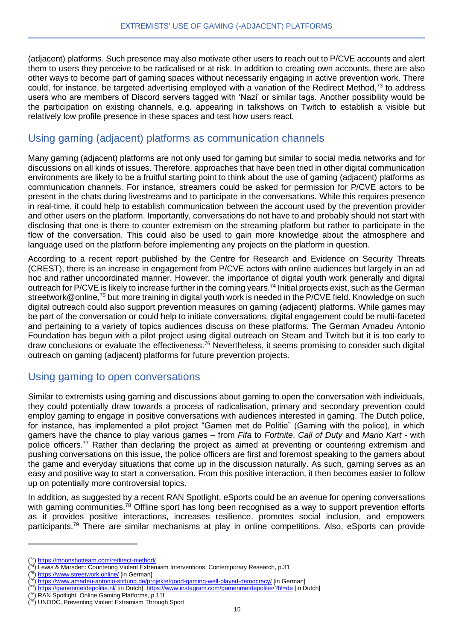(adjacent) platforms. Such presence may also motivate other users to reach out to P/CVE accounts and alert them to users they perceive to be radicalised or at risk. In addition to creating own accounts, there are also other ways to become part of gaming spaces without necessarily engaging in active prevention work. There could, for instance, be targeted advertising employed with a variation of the Redirect Method, $73$  to address users who are members of Discord servers tagged with 'Nazi' or similar tags. Another possibility would be the participation on existing channels, e.g. appearing in talkshows on Twitch to establish a visible but relatively low profile presence in these spaces and test how users react.

#### Using gaming (adjacent) platforms as communication channels

Many gaming (adjacent) platforms are not only used for gaming but similar to social media networks and for discussions on all kinds of issues. Therefore, approaches that have been tried in other digital communication environments are likely to be a fruitful starting point to think about the use of gaming (adjacent) platforms as communication channels. For instance, streamers could be asked for permission for P/CVE actors to be present in the chats during livestreams and to participate in the conversations. While this requires presence in real-time, it could help to establish communication between the account used by the prevention provider and other users on the platform. Importantly, conversations do not have to and probably should not start with disclosing that one is there to counter extremism on the streaming platform but rather to participate in the flow of the conversation. This could also be used to gain more knowledge about the atmosphere and language used on the platform before implementing any projects on the platform in question.

According to a recent report published by the Centre for Research and Evidence on Security Threats (CREST), there is an increase in engagement from P/CVE actors with online audiences but largely in an ad hoc and rather uncoordinated manner. However, the importance of digital youth work generally and digital outreach for P/CVE is likely to increase further in the coming years.<sup>74</sup> Initial projects exist, such as the German streetwork@online,<sup>75</sup> but more training in digital youth work is needed in the P/CVE field. Knowledge on such digital outreach could also support prevention measures on gaming (adjacent) platforms. While games may be part of the conversation or could help to initiate conversations, digital engagement could be multi-faceted and pertaining to a variety of topics audiences discuss on these platforms. The German Amadeu Antonio Foundation has begun with a pilot project using digital outreach on Steam and Twitch but it is too early to draw conclusions or evaluate the effectiveness.<sup>76</sup> Nevertheless, it seems promising to consider such digital outreach on gaming (adjacent) platforms for future prevention projects.

## Using gaming to open conversations

Similar to extremists using gaming and discussions about gaming to open the conversation with individuals, they could potentially draw towards a process of radicalisation, primary and secondary prevention could employ gaming to engage in positive conversations with audiences interested in gaming. The Dutch police, for instance, has implemented a pilot project "Gamen met de Politie" (Gaming with the police), in which gamers have the chance to play various games – from *Fifa* to *Fortnite*, *Call of Duty* and *Mario Kart* - with police officers.<sup>77</sup> Rather than declaring the project as aimed at preventing or countering extremism and pushing conversations on this issue, the police officers are first and foremost speaking to the gamers about the game and everyday situations that come up in the discussion naturally. As such, gaming serves as an easy and positive way to start a conversation. From this positive interaction, it then becomes easier to follow up on potentially more controversial topics.

In addition, as suggested by a recent RAN Spotlight, eSports could be an avenue for opening conversations with gaming communities.<sup>78</sup> Offline sport has long been recognised as a way to support prevention efforts as it provides positive interactions, increases resilience, promotes social inclusion, and empowers participants.<sup>79</sup> There are similar mechanisms at play in online competitions. Also, eSports can provide

<sup>(&</sup>lt;sup>73</sup>)<https://moonshotteam.com/redirect-method/>

 $(74)$  Lewis & Marsden: Countering Violent Extremism Interventions: Contemporary Research, p.31

<sup>(&</sup>lt;sup>75</sup>)<https://www.streetwork.online/> [in German]

<sup>&</sup>lt;sup>(76</sup>)<https://www.amadeu-antonio-stiftung.de/projekte/good-gaming-well-played-democracy/> [in German]

<sup>(</sup> <sup>77</sup>)<https://gamenmetdepolitie.nl/> [in Dutch][; https://www.instagram.com/gamenmetdepolitie/?hl=de](https://www.instagram.com/gamenmetdepolitie/?hl=de) [in Dutch]

<sup>(&</sup>lt;sup>78</sup>) RAN Spotlight, Online Gaming Platforms, p.11f

<sup>(</sup> 79) UNODC, Preventing Violent Extremism Through Sport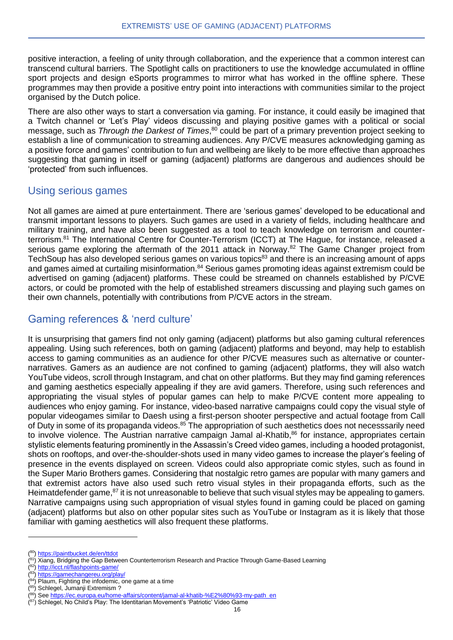positive interaction, a feeling of unity through collaboration, and the experience that a common interest can transcend cultural barriers. The Spotlight calls on practitioners to use the knowledge accumulated in offline sport projects and design eSports programmes to mirror what has worked in the offline sphere. These programmes may then provide a positive entry point into interactions with communities similar to the project organised by the Dutch police.

There are also other ways to start a conversation via gaming. For instance, it could easily be imagined that a Twitch channel or 'Let's Play' videos discussing and playing positive games with a political or social message, such as *Through the Darkest of Times*, <sup>80</sup> could be part of a primary prevention project seeking to establish a line of communication to streaming audiences. Any P/CVE measures acknowledging gaming as a positive force and games' contribution to fun and wellbeing are likely to be more effective than approaches suggesting that gaming in itself or gaming (adjacent) platforms are dangerous and audiences should be 'protected' from such influences.

#### Using serious games

Not all games are aimed at pure entertainment. There are 'serious games' developed to be educational and transmit important lessons to players. Such games are used in a variety of fields, including healthcare and military training, and have also been suggested as a tool to teach knowledge on terrorism and counterterrorism.<sup>81</sup> The International Centre for Counter-Terrorism (ICCT) at The Hague, for instance, released a serious game exploring the aftermath of the 2011 attack in Norway.<sup>82</sup> The Game Changer project from TechSoup has also developed serious games on various topics<sup>83</sup> and there is an increasing amount of apps and games aimed at curtailing misinformation.<sup>84</sup> Serious games promoting ideas against extremism could be advertised on gaming (adjacent) platforms. These could be streamed on channels established by P/CVE actors, or could be promoted with the help of established streamers discussing and playing such games on their own channels, potentially with contributions from P/CVE actors in the stream.

#### Gaming references & 'nerd culture'

It is unsurprising that gamers find not only gaming (adjacent) platforms but also gaming cultural references appealing. Using such references, both on gaming (adjacent) platforms and beyond, may help to establish access to gaming communities as an audience for other P/CVE measures such as alternative or counternarratives. Gamers as an audience are not confined to gaming (adjacent) platforms, they will also watch YouTube videos, scroll through Instagram, and chat on other platforms. But they may find gaming references and gaming aesthetics especially appealing if they are avid gamers. Therefore, using such references and appropriating the visual styles of popular games can help to make P/CVE content more appealing to audiences who enjoy gaming. For instance, video-based narrative campaigns could copy the visual style of popular videogames similar to Daesh using a first-person shooter perspective and actual footage from Call of Duty in some of its propaganda videos.<sup>85</sup> The appropriation of such aesthetics does not necesssarily need to involve violence. The Austrian narrative campaign Jamal al-Khatib,<sup>86</sup> for instance, appropriates certain stylistic elements featuring prominently in the Assassin's Creed video games, including a hooded protagonist, shots on rooftops, and over-the-shoulder-shots used in many video games to increase the player's feeling of presence in the events displayed on screen. Videos could also appropriate comic styles, such as found in the Super Mario Brothers games. Considering that nostalgic retro games are popular with many gamers and that extremist actors have also used such retro visual styles in their propaganda efforts, such as the Heimatdefender game,<sup>87</sup> it is not unreasonable to believe that such visual styles may be appealing to gamers. Narrative campaigns using such appropriation of visual styles found in gaming could be placed on gaming (adjacent) platforms but also on other popular sites such as YouTube or Instagram as it is likely that those familiar with gaming aesthetics will also frequent these platforms.

(<sup>82</sup>)<http://icct.nl/flashpoints-game/>

<sup>(</sup> <sup>0</sup>)<https://paintbucket.de/en/ttdot>

<sup>&</sup>lt;sup>(81</sup>) Xiang, Bridging the Gap Between Counterterrorism Research and Practice Through Game-Based Learning

<sup>(83)</sup><https://gamechangereu.org/play/>

 $(84)$  Plaum, Fighting the infodemic, one game at a time

<sup>(</sup> <sup>85</sup>) Schlegel, Jumanji Extremism ?

<sup>(&</sup>lt;sup>86</sup>) Se[e https://ec.europa.eu/home-affairs/content/jamal-al-khatib-%E2%80%93-my-path\\_en](https://ec.europa.eu/home-affairs/content/jamal-al-khatib-%E2%80%93-my-path_en)

<sup>(&</sup>lt;sup>87</sup>) Schlegel, No Child's Play: The Identitarian Movement's 'Patriotic' Video Game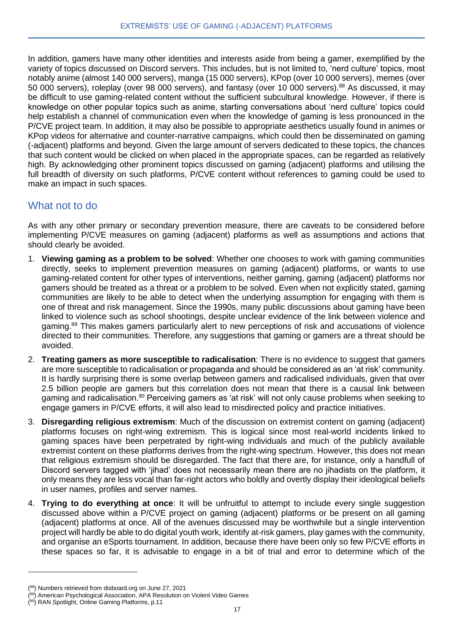In addition, gamers have many other identities and interests aside from being a gamer, exemplified by the variety of topics discussed on Discord servers. This includes, but is not limited to, 'nerd culture' topics, most notably anime (almost 140 000 servers), manga (15 000 servers), KPop (over 10 000 servers), memes (over 50 000 servers), roleplay (over 98 000 servers), and fantasy (over 10 000 servers).<sup>88</sup> As discussed, it may be difficult to use gaming-related content without the sufficient subcultural knowledge. However, if there is knowledge on other popular topics such as anime, starting conversations about 'nerd culture' topics could help establish a channel of communication even when the knowledge of gaming is less pronounced in the P/CVE project team. In addition, it may also be possible to appropriate aesthetics usually found in animes or KPop videos for alternative and counter-narrative campaigns, which could then be disseminated on gaming (-adjacent) platforms and beyond. Given the large amount of servers dedicated to these topics, the chances that such content would be clicked on when placed in the appropriate spaces, can be regarded as relatively high. By acknowledging other prominent topics discussed on gaming (adjacent) platforms and utilising the full breadth of diversity on such platforms, P/CVE content without references to gaming could be used to make an impact in such spaces.

#### What not to do

As with any other primary or secondary prevention measure, there are caveats to be considered before implementing P/CVE measures on gaming (adjacent) platforms as well as assumptions and actions that should clearly be avoided.

- 1. **Viewing gaming as a problem to be solved**: Whether one chooses to work with gaming communities directly, seeks to implement prevention measures on gaming (adjacent) platforms, or wants to use gaming-related content for other types of interventions, neither gaming, gaming (adjacent) platforms nor gamers should be treated as a threat or a problem to be solved. Even when not explicitly stated, gaming communities are likely to be able to detect when the underlying assumption for engaging with them is one of threat and risk management. Since the 1990s, many public discussions about gaming have been linked to violence such as school shootings, despite unclear evidence of the link between violence and gaming.<sup>89</sup> This makes gamers particularly alert to new perceptions of risk and accusations of violence directed to their communities. Therefore, any suggestions that gaming or gamers are a threat should be avoided.
- 2. **Treating gamers as more susceptible to radicalisation**: There is no evidence to suggest that gamers are more susceptible to radicalisation or propaganda and should be considered as an 'at risk' community. It is hardly surprising there is some overlap between gamers and radicalised individuals, given that over 2.5 billion people are gamers but this correlation does not mean that there is a causal link between gaming and radicalisation.<sup>90</sup> Perceiving gamers as 'at risk' will not only cause problems when seeking to engage gamers in P/CVE efforts, it will also lead to misdirected policy and practice initiatives.
- 3. **Disregarding religious extremism**: Much of the discussion on extremist content on gaming (adjacent) platforms focuses on right-wing extremism. This is logical since most real-world incidents linked to gaming spaces have been perpetrated by right-wing individuals and much of the publicly available extremist content on these platforms derives from the right-wing spectrum. However, this does not mean that religious extremism should be disregarded. The fact that there are, for instance, only a handfull of Discord servers tagged with 'jihad' does not necessarily mean there are no jihadists on the platform, it only means they are less vocal than far-right actors who boldly and overtly display their ideological beliefs in user names, profiles and server names.
- 4. **Trying to do everything at once**: It will be unfruitful to attempt to include every single suggestion discussed above within a P/CVE project on gaming (adjacent) platforms or be present on all gaming (adjacent) platforms at once. All of the avenues discussed may be worthwhile but a single intervention project will hardly be able to do digital youth work, identify at-risk gamers, play games with the community, and organise an eSports tournament. In addition, because there have been only so few P/CVE efforts in these spaces so far, it is advisable to engage in a bit of trial and error to determine which of the

<sup>(88)</sup> Numbers retrieved from disboard.org on June 27, 2021

<sup>(89)</sup> American Psychological Association, APA Resolution on Violent Video Games

<sup>(&</sup>lt;sup>90</sup>) RAN Spotlight, Online Gaming Platforms, p.11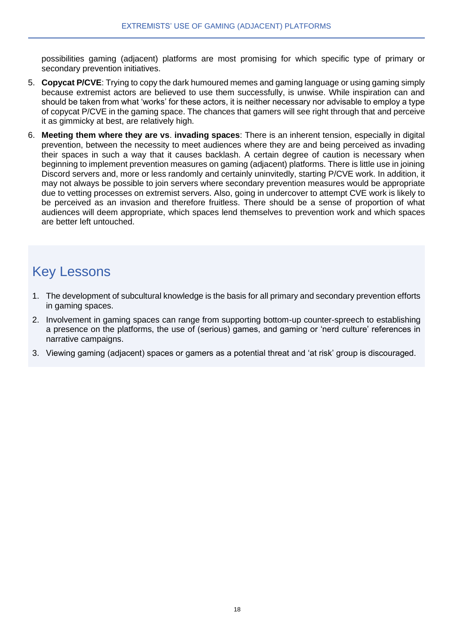possibilities gaming (adjacent) platforms are most promising for which specific type of primary or secondary prevention initiatives.

- 5. **Copycat P/CVE**: Trying to copy the dark humoured memes and gaming language or using gaming simply because extremist actors are believed to use them successfully, is unwise. While inspiration can and should be taken from what 'works' for these actors, it is neither necessary nor advisable to employ a type of copycat P/CVE in the gaming space. The chances that gamers will see right through that and perceive it as gimmicky at best, are relatively high.
- 6. **Meeting them where they are vs**. **invading spaces**: There is an inherent tension, especially in digital prevention, between the necessity to meet audiences where they are and being perceived as invading their spaces in such a way that it causes backlash. A certain degree of caution is necessary when beginning to implement prevention measures on gaming (adjacent) platforms. There is little use in joining Discord servers and, more or less randomly and certainly uninvitedly, starting P/CVE work. In addition, it may not always be possible to join servers where secondary prevention measures would be appropriate due to vetting processes on extremist servers. Also, going in undercover to attempt CVE work is likely to be perceived as an invasion and therefore fruitless. There should be a sense of proportion of what audiences will deem appropriate, which spaces lend themselves to prevention work and which spaces are better left untouched.

# Key Lessons

- 1. The development of subcultural knowledge is the basis for all primary and secondary prevention efforts in gaming spaces.
- 2. Involvement in gaming spaces can range from supporting bottom-up counter-spreech to establishing a presence on the platforms, the use of (serious) games, and gaming or 'nerd culture' references in narrative campaigns.
- 3. Viewing gaming (adjacent) spaces or gamers as a potential threat and 'at risk' group is discouraged.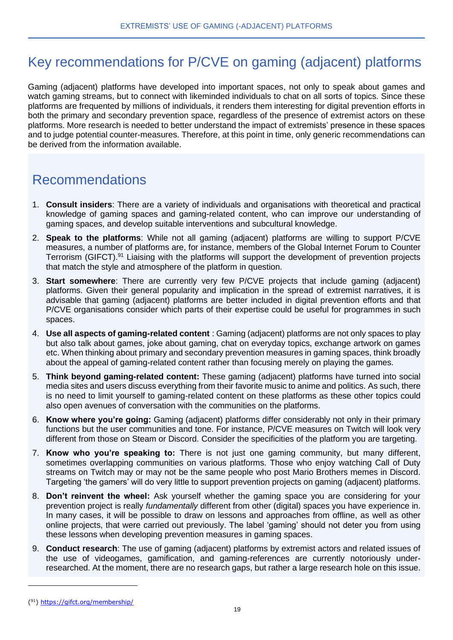# Key recommendations for P/CVE on gaming (adjacent) platforms

Gaming (adjacent) platforms have developed into important spaces, not only to speak about games and watch gaming streams, but to connect with likeminded individuals to chat on all sorts of topics. Since these platforms are frequented by millions of individuals, it renders them interesting for digital prevention efforts in both the primary and secondary prevention space, regardless of the presence of extremist actors on these platforms. More research is needed to better understand the impact of extremists' presence in these spaces and to judge potential counter-measures. Therefore, at this point in time, only generic recommendations can be derived from the information available.

## Recommendations

- 1. **Consult insiders**: There are a variety of individuals and organisations with theoretical and practical knowledge of gaming spaces and gaming-related content, who can improve our understanding of gaming spaces, and develop suitable interventions and subcultural knowledge.
- 2. **Speak to the platforms**: While not all gaming (adjacent) platforms are willing to support P/CVE measures, a number of platforms are, for instance, members of the Global Internet Forum to Counter Terrorism (GIFCT).<sup>91</sup> Liaising with the platforms will support the development of prevention projects that match the style and atmosphere of the platform in question.
- 3. **Start somewhere**: There are currently very few P/CVE projects that include gaming (adjacent) platforms. Given their general popularity and implication in the spread of extremist narratives, it is advisable that gaming (adjacent) platforms are better included in digital prevention efforts and that P/CVE organisations consider which parts of their expertise could be useful for programmes in such spaces.
- 4. **Use all aspects of gaming-related content** : Gaming (adjacent) platforms are not only spaces to play but also talk about games, joke about gaming, chat on everyday topics, exchange artwork on games etc. When thinking about primary and secondary prevention measures in gaming spaces, think broadly about the appeal of gaming-related content rather than focusing merely on playing the games.
- 5. **Think beyond gaming-related content:** These gaming (adjacent) platforms have turned into social media sites and users discuss everything from their favorite music to anime and politics. As such, there is no need to limit yourself to gaming-related content on these platforms as these other topics could also open avenues of conversation with the communities on the platforms.
- 6. **Know where you're going:** Gaming (adjacent) platforms differ considerably not only in their primary functions but the user communities and tone. For instance, P/CVE measures on Twitch will look very different from those on Steam or Discord. Consider the specificities of the platform you are targeting.
- 7. **Know who you're speaking to:** There is not just one gaming community, but many different, sometimes overlapping communities on various platforms. Those who enjoy watching Call of Duty streams on Twitch may or may not be the same people who post Mario Brothers memes in Discord. Targeting 'the gamers' will do very little to support prevention projects on gaming (adjacent) platforms.
- 8. **Don't reinvent the wheel:** Ask yourself whether the gaming space you are considering for your prevention project is really *fundamentally* different from other (digital) spaces you have experience in. In many cases, it will be possible to draw on lessons and approaches from offline, as well as other online projects, that were carried out previously. The label 'gaming' should not deter you from using these lessons when developing prevention measures in gaming spaces.
- 9. **Conduct research**: The use of gaming (adjacent) platforms by extremist actors and related issues of the use of videogames, gamification, and gaming-references are currently notoriously underresearched. At the moment, there are no research gaps, but rather a large research hole on this issue.

<sup>(&</sup>lt;sup>91</sup>)<https://gifct.org/membership/>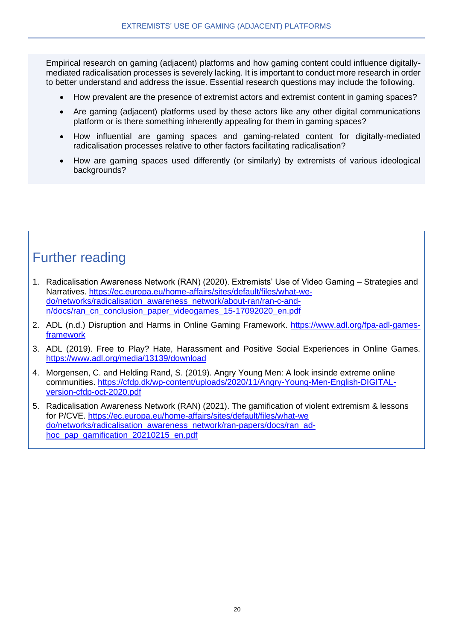Empirical research on gaming (adjacent) platforms and how gaming content could influence digitallymediated radicalisation processes is severely lacking. It is important to conduct more research in order to better understand and address the issue. Essential research questions may include the following.

- How prevalent are the presence of extremist actors and extremist content in gaming spaces?
- Are gaming (adjacent) platforms used by these actors like any other digital communications platform or is there something inherently appealing for them in gaming spaces?
- How influential are gaming spaces and gaming-related content for digitally-mediated radicalisation processes relative to other factors facilitating radicalisation?
- How are gaming spaces used differently (or similarly) by extremists of various ideological backgrounds?

# Further reading

- 1. Radicalisation Awareness Network (RAN) (2020). Extremists' Use of Video Gaming Strategies and Narratives. [https://ec.europa.eu/home-affairs/sites/default/files/what-we](https://ec.europa.eu/home-affairs/sites/default/files/what-we-do/networks/radicalisation_awareness_network/about-ran/ran-c-and-n/docs/ran_cn_conclusion_paper_videogames_15-17092020_en.pdf)[do/networks/radicalisation\\_awareness\\_network/about-ran/ran-c-and](https://ec.europa.eu/home-affairs/sites/default/files/what-we-do/networks/radicalisation_awareness_network/about-ran/ran-c-and-n/docs/ran_cn_conclusion_paper_videogames_15-17092020_en.pdf)[n/docs/ran\\_cn\\_conclusion\\_paper\\_videogames\\_15-17092020\\_en.pdf](https://ec.europa.eu/home-affairs/sites/default/files/what-we-do/networks/radicalisation_awareness_network/about-ran/ran-c-and-n/docs/ran_cn_conclusion_paper_videogames_15-17092020_en.pdf)
- 2. ADL (n.d.) Disruption and Harms in Online Gaming Framework. [https://www.adl.org/fpa-adl-games](https://www.adl.org/fpa-adl-games-framework)[framework](https://www.adl.org/fpa-adl-games-framework)
- 3. ADL (2019). Free to Play? Hate, Harassment and Positive Social Experiences in Online Games. <https://www.adl.org/media/13139/download>
- 4. Morgensen, C. and Helding Rand, S. (2019). Angry Young Men: A look insinde extreme online communities. [https://cfdp.dk/wp-content/uploads/2020/11/Angry-Young-Men-English-DIGITAL](https://cfdp.dk/wp-content/uploads/2020/11/Angry-Young-Men-English-DIGITAL-version-cfdp-oct-2020.pdf)[version-cfdp-oct-2020.pdf](https://cfdp.dk/wp-content/uploads/2020/11/Angry-Young-Men-English-DIGITAL-version-cfdp-oct-2020.pdf)
- 5. Radicalisation Awareness Network (RAN) (2021). The gamification of violent extremism & lessons for P/CVE. [https://ec.europa.eu/home-affairs/sites/default/files/what-we](https://ec.europa.eu/home-affairs/sites/default/files/what-we%20do/networks/radicalisation_awareness_network/ran-papers/docs/ran_ad-hoc_pap_gamification_20210215_en.pdf)  [do/networks/radicalisation\\_awareness\\_network/ran-papers/docs/ran\\_ad](https://ec.europa.eu/home-affairs/sites/default/files/what-we%20do/networks/radicalisation_awareness_network/ran-papers/docs/ran_ad-hoc_pap_gamification_20210215_en.pdf)[hoc\\_pap\\_gamification\\_20210215\\_en.pdf](https://ec.europa.eu/home-affairs/sites/default/files/what-we%20do/networks/radicalisation_awareness_network/ran-papers/docs/ran_ad-hoc_pap_gamification_20210215_en.pdf)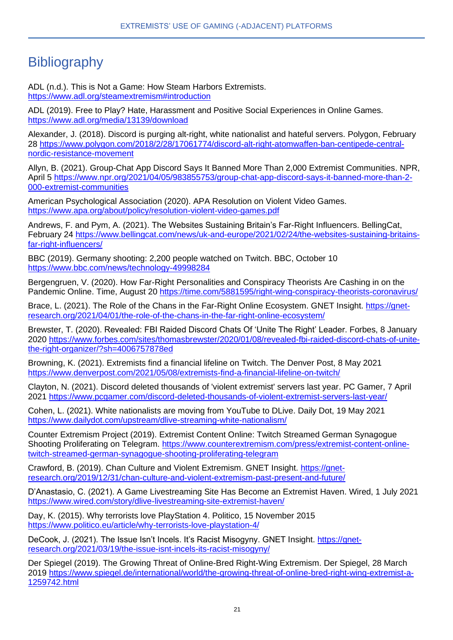# **Bibliography**

ADL (n.d.). This is Not a Game: How Steam Harbors Extremists. <https://www.adl.org/steamextremism#introduction>

ADL (2019). Free to Play? Hate, Harassment and Positive Social Experiences in Online Games. <https://www.adl.org/media/13139/download>

Alexander, J. (2018). Discord is purging alt-right, white nationalist and hateful servers. Polygon, February 28 [https://www.polygon.com/2018/2/28/17061774/discord-alt-right-atomwaffen-ban-centipede-central](https://www.polygon.com/2018/2/28/17061774/discord-alt-right-atomwaffen-ban-centipede-central-nordic-resistance-movement)[nordic-resistance-movement](https://www.polygon.com/2018/2/28/17061774/discord-alt-right-atomwaffen-ban-centipede-central-nordic-resistance-movement)

Allyn, B. (2021). Group-Chat App Discord Says It Banned More Than 2,000 Extremist Communities. NPR, April 5 [https://www.npr.org/2021/04/05/983855753/group-chat-app-discord-says-it-banned-more-than-2-](https://www.npr.org/2021/04/05/983855753/group-chat-app-discord-says-it-banned-more-than-2-000-extremist-communities) [000-extremist-communities](https://www.npr.org/2021/04/05/983855753/group-chat-app-discord-says-it-banned-more-than-2-000-extremist-communities)

American Psychological Association (2020). APA Resolution on Violent Video Games. <https://www.apa.org/about/policy/resolution-violent-video-games.pdf>

Andrews, F. and Pym, A. (2021). The Websites Sustaining Britain's Far-Right Influencers. BellingCat, February 24 [https://www.bellingcat.com/news/uk-and-europe/2021/02/24/the-websites-sustaining-britains](https://www.bellingcat.com/news/uk-and-europe/2021/02/24/the-websites-sustaining-britains-far-right-influencers/)[far-right-influencers/](https://www.bellingcat.com/news/uk-and-europe/2021/02/24/the-websites-sustaining-britains-far-right-influencers/)

BBC (2019). Germany shooting: 2,200 people watched on Twitch. BBC, October 10 <https://www.bbc.com/news/technology-49998284>

Bergengruen, V. (2020). How Far-Right Personalities and Conspiracy Theorists Are Cashing in on the Pandemic Online. Time, August 20<https://time.com/5881595/right-wing-conspiracy-theorists-coronavirus/>

Brace, L. (2021). The Role of the Chans in the Far-Right Online Ecosystem. GNET Insight. [https://gnet](https://gnet-research.org/2021/04/01/the-role-of-the-chans-in-the-far-right-online-ecosystem/)[research.org/2021/04/01/the-role-of-the-chans-in-the-far-right-online-ecosystem/](https://gnet-research.org/2021/04/01/the-role-of-the-chans-in-the-far-right-online-ecosystem/)

Brewster, T. (2020). Revealed: FBI Raided Discord Chats Of 'Unite The Right' Leader. Forbes, 8 January 2020 [https://www.forbes.com/sites/thomasbrewster/2020/01/08/revealed-fbi-raided-discord-chats-of-unite](https://www.forbes.com/sites/thomasbrewster/2020/01/08/revealed-fbi-raided-discord-chats-of-unite-the-right-organizer/?sh=4006757878ed)[the-right-organizer/?sh=4006757878ed](https://www.forbes.com/sites/thomasbrewster/2020/01/08/revealed-fbi-raided-discord-chats-of-unite-the-right-organizer/?sh=4006757878ed)

Browning, K. (2021). Extremists find a financial lifeline on Twitch. The Denver Post, 8 May 2021 <https://www.denverpost.com/2021/05/08/extremists-find-a-financial-lifeline-on-twitch/>

Clayton, N. (2021). Discord deleted thousands of 'violent extremist' servers last year. PC Gamer, 7 April 2021 <https://www.pcgamer.com/discord-deleted-thousands-of-violent-extremist-servers-last-year/>

Cohen, L. (2021). White nationalists are moving from YouTube to DLive. Daily Dot, 19 May 2021 <https://www.dailydot.com/upstream/dlive-streaming-white-nationalism/>

Counter Extremism Project (2019). Extremist Content Online: Twitch Streamed German Synagogue Shooting Proliferating on Telegram. [https://www.counterextremism.com/press/extremist-content-online](https://www.counterextremism.com/press/extremist-content-online-twitch-streamed-german-synagogue-shooting-proliferating-telegram)[twitch-streamed-german-synagogue-shooting-proliferating-telegram](https://www.counterextremism.com/press/extremist-content-online-twitch-streamed-german-synagogue-shooting-proliferating-telegram)

Crawford, B. (2019). Chan Culture and Violent Extremism. GNET Insight. [https://gnet](https://gnet-research.org/2019/12/31/chan-culture-and-violent-extremism-past-present-and-future/)[research.org/2019/12/31/chan-culture-and-violent-extremism-past-present-and-future/](https://gnet-research.org/2019/12/31/chan-culture-and-violent-extremism-past-present-and-future/)

D'Anastasio, C. (2021). A Game Livestreaming Site Has Become an Extremist Haven. Wired, 1 July 2021 <https://www.wired.com/story/dlive-livestreaming-site-extremist-haven/>

Day, K. (2015). Why terrorists love PlayStation 4. Politico, 15 November 2015 <https://www.politico.eu/article/why-terrorists-love-playstation-4/>

DeCook, J. (2021). The Issue Isn't Incels. It's Racist Misogyny. GNET Insight. [https://gnet](https://gnet-research.org/2021/03/19/the-issue-isnt-incels-its-racist-misogyny/)[research.org/2021/03/19/the-issue-isnt-incels-its-racist-misogyny/](https://gnet-research.org/2021/03/19/the-issue-isnt-incels-its-racist-misogyny/)

Der Spiegel (2019). The Growing Threat of Online-Bred Right-Wing Extremism. Der Spiegel, 28 March 2019 [https://www.spiegel.de/international/world/the-growing-threat-of-online-bred-right-wing-extremist-a-](https://www.spiegel.de/international/world/the-growing-threat-of-online-bred-right-wing-extremist-a-1259742.html)[1259742.html](https://www.spiegel.de/international/world/the-growing-threat-of-online-bred-right-wing-extremist-a-1259742.html)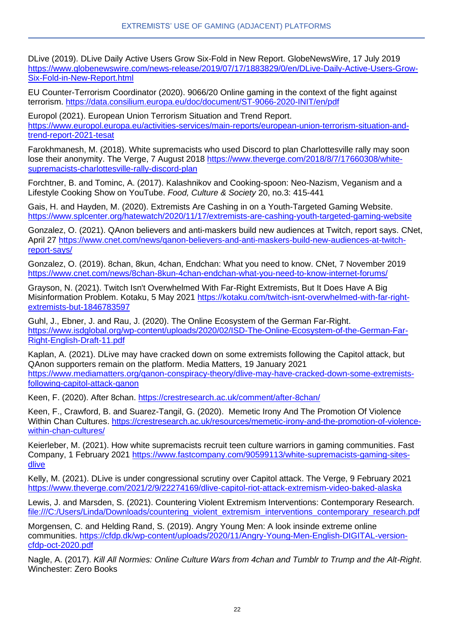DLive (2019). DLive Daily Active Users Grow Six-Fold in New Report. GlobeNewsWire, 17 July 2019 [https://www.globenewswire.com/news-release/2019/07/17/1883829/0/en/DLive-Daily-Active-Users-Grow-](https://www.globenewswire.com/news-release/2019/07/17/1883829/0/en/DLive-Daily-Active-Users-Grow-Six-Fold-in-New-Report.html)[Six-Fold-in-New-Report.html](https://www.globenewswire.com/news-release/2019/07/17/1883829/0/en/DLive-Daily-Active-Users-Grow-Six-Fold-in-New-Report.html)

EU Counter-Terrorism Coordinator (2020). 9066/20 Online gaming in the context of the fight against terrorism.<https://data.consilium.europa.eu/doc/document/ST-9066-2020-INIT/en/pdf>

Europol (2021). European Union Terrorism Situation and Trend Report. [https://www.europol.europa.eu/activities-services/main-reports/european-union-terrorism-situation-and](https://www.europol.europa.eu/activities-services/main-reports/european-union-terrorism-situation-and-trend-report-2021-tesat)[trend-report-2021-tesat](https://www.europol.europa.eu/activities-services/main-reports/european-union-terrorism-situation-and-trend-report-2021-tesat)

Farokhmanesh, M. (2018). White supremacists who used Discord to plan Charlottesville rally may soon lose their anonymity. The Verge, 7 August 2018 [https://www.theverge.com/2018/8/7/17660308/white](https://www.theverge.com/2018/8/7/17660308/white-supremacists-charlottesville-rally-discord-plan)[supremacists-charlottesville-rally-discord-plan](https://www.theverge.com/2018/8/7/17660308/white-supremacists-charlottesville-rally-discord-plan)

Forchtner, B. and Tominc, A. (2017). Kalashnikov and Cooking-spoon: Neo-Nazism, Veganism and a Lifestyle Cooking Show on YouTube. *Food, Culture & Society* 20, no.3: 415-441

Gais, H. and Hayden, M. (2020). Extremists Are Cashing in on a Youth-Targeted Gaming Website. <https://www.splcenter.org/hatewatch/2020/11/17/extremists-are-cashing-youth-targeted-gaming-website>

Gonzalez, O. (2021). QAnon believers and anti-maskers build new audiences at Twitch, report says. CNet, April 27 [https://www.cnet.com/news/qanon-believers-and-anti-maskers-build-new-audiences-at-twitch](https://www.cnet.com/news/qanon-believers-and-anti-maskers-build-new-audiences-at-twitch-report-says/)[report-says/](https://www.cnet.com/news/qanon-believers-and-anti-maskers-build-new-audiences-at-twitch-report-says/)

Gonzalez, O. (2019). 8chan, 8kun, 4chan, Endchan: What you need to know. CNet, 7 November 2019 <https://www.cnet.com/news/8chan-8kun-4chan-endchan-what-you-need-to-know-internet-forums/>

Grayson, N. (2021). Twitch Isn't Overwhelmed With Far-Right Extremists, But It Does Have A Big Misinformation Problem. Kotaku, 5 May 2021 [https://kotaku.com/twitch-isnt-overwhelmed-with-far-right](https://kotaku.com/twitch-isnt-overwhelmed-with-far-right-extremists-but-1846783597)[extremists-but-1846783597](https://kotaku.com/twitch-isnt-overwhelmed-with-far-right-extremists-but-1846783597)

Guhl, J., Ebner, J. and Rau, J. (2020). The Online Ecosystem of the German Far-Right. [https://www.isdglobal.org/wp-content/uploads/2020/02/ISD-The-Online-Ecosystem-of-the-German-Far-](https://www.isdglobal.org/wp-content/uploads/2020/02/ISD-The-Online-Ecosystem-of-the-German-Far-Right-English-Draft-11.pdf)[Right-English-Draft-11.pdf](https://www.isdglobal.org/wp-content/uploads/2020/02/ISD-The-Online-Ecosystem-of-the-German-Far-Right-English-Draft-11.pdf)

Kaplan, A. (2021). DLive may have cracked down on some extremists following the Capitol attack, but QAnon supporters remain on the platform. Media Matters, 19 January 2021 [https://www.mediamatters.org/qanon-conspiracy-theory/dlive-may-have-cracked-down-some-extremists](https://www.mediamatters.org/qanon-conspiracy-theory/dlive-may-have-cracked-down-some-extremists-following-capitol-attack-qanon)[following-capitol-attack-qanon](https://www.mediamatters.org/qanon-conspiracy-theory/dlive-may-have-cracked-down-some-extremists-following-capitol-attack-qanon)

Keen, F. (2020). After 8chan.<https://crestresearch.ac.uk/comment/after-8chan/>

Keen, F., Crawford, B. and Suarez-Tangil, G. (2020). Memetic Irony And The Promotion Of Violence Within Chan Cultures. [https://crestresearch.ac.uk/resources/memetic-irony-and-the-promotion-of-violence](https://crestresearch.ac.uk/resources/memetic-irony-and-the-promotion-of-violence-within-chan-cultures/)[within-chan-cultures/](https://crestresearch.ac.uk/resources/memetic-irony-and-the-promotion-of-violence-within-chan-cultures/)

Keierleber, M. (2021). How white supremacists recruit teen culture warriors in gaming communities. Fast Company, 1 February 2021 [https://www.fastcompany.com/90599113/white-supremacists-gaming-sites](https://www.fastcompany.com/90599113/white-supremacists-gaming-sites-dlive)[dlive](https://www.fastcompany.com/90599113/white-supremacists-gaming-sites-dlive)

Kelly, M. (2021). DLive is under congressional scrutiny over Capitol attack. The Verge, 9 February 2021 <https://www.theverge.com/2021/2/9/22274169/dlive-capitol-riot-attack-extremism-video-baked-alaska>

Lewis, J. and Marsden, S. (2021). Countering Violent Extremism Interventions: Contemporary Research. [file:///C:/Users/Linda/Downloads/countering\\_violent\\_extremism\\_interventions\\_contemporary\\_research.pdf](file:///C:/Users/Linda/Downloads/countering_violent_extremism_interventions_contemporary_research.pdf)

Morgensen, C. and Helding Rand, S. (2019). Angry Young Men: A look insinde extreme online communities. [https://cfdp.dk/wp-content/uploads/2020/11/Angry-Young-Men-English-DIGITAL-version](https://cfdp.dk/wp-content/uploads/2020/11/Angry-Young-Men-English-DIGITAL-version-cfdp-oct-2020.pdf)[cfdp-oct-2020.pdf](https://cfdp.dk/wp-content/uploads/2020/11/Angry-Young-Men-English-DIGITAL-version-cfdp-oct-2020.pdf)

Nagle, A. (2017). *Kill All Normies: Online Culture Wars from 4chan and Tumblr to Trump and the Alt-Right*. Winchester: Zero Books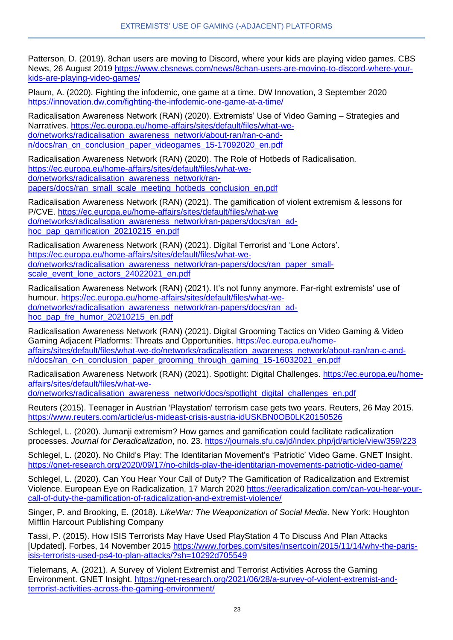Patterson, D. (2019). 8chan users are moving to Discord, where your kids are playing video games. CBS News, 26 August 2019 [https://www.cbsnews.com/news/8chan-users-are-moving-to-discord-where-your](https://www.cbsnews.com/news/8chan-users-are-moving-to-discord-where-your-kids-are-playing-video-games/)[kids-are-playing-video-games/](https://www.cbsnews.com/news/8chan-users-are-moving-to-discord-where-your-kids-are-playing-video-games/)

Plaum, A. (2020). Fighting the infodemic, one game at a time. DW Innovation, 3 September 2020 <https://innovation.dw.com/fighting-the-infodemic-one-game-at-a-time/>

Radicalisation Awareness Network (RAN) (2020). Extremists' Use of Video Gaming – Strategies and Narratives. [https://ec.europa.eu/home-affairs/sites/default/files/what-we](https://ec.europa.eu/home-affairs/sites/default/files/what-we-do/networks/radicalisation_awareness_network/about-ran/ran-c-and-n/docs/ran_cn_conclusion_paper_videogames_15-17092020_en.pdf)[do/networks/radicalisation\\_awareness\\_network/about-ran/ran-c-and](https://ec.europa.eu/home-affairs/sites/default/files/what-we-do/networks/radicalisation_awareness_network/about-ran/ran-c-and-n/docs/ran_cn_conclusion_paper_videogames_15-17092020_en.pdf)[n/docs/ran\\_cn\\_conclusion\\_paper\\_videogames\\_15-17092020\\_en.pdf](https://ec.europa.eu/home-affairs/sites/default/files/what-we-do/networks/radicalisation_awareness_network/about-ran/ran-c-and-n/docs/ran_cn_conclusion_paper_videogames_15-17092020_en.pdf)

Radicalisation Awareness Network (RAN) (2020). The Role of Hotbeds of Radicalisation. [https://ec.europa.eu/home-affairs/sites/default/files/what-we](https://ec.europa.eu/home-affairs/sites/default/files/what-we-do/networks/radicalisation_awareness_network/ran-papers/docs/ran_small_scale_meeting_hotbeds_conclusion_en.pdf)[do/networks/radicalisation\\_awareness\\_network/ran](https://ec.europa.eu/home-affairs/sites/default/files/what-we-do/networks/radicalisation_awareness_network/ran-papers/docs/ran_small_scale_meeting_hotbeds_conclusion_en.pdf)[papers/docs/ran\\_small\\_scale\\_meeting\\_hotbeds\\_conclusion\\_en.pdf](https://ec.europa.eu/home-affairs/sites/default/files/what-we-do/networks/radicalisation_awareness_network/ran-papers/docs/ran_small_scale_meeting_hotbeds_conclusion_en.pdf)

Radicalisation Awareness Network (RAN) (2021). The gamification of violent extremism & lessons for P/CVE. [https://ec.europa.eu/home-affairs/sites/default/files/what-we](https://ec.europa.eu/home-affairs/sites/default/files/what-we%20do/networks/radicalisation_awareness_network/ran-papers/docs/ran_ad-hoc_pap_gamification_20210215_en.pdf)  [do/networks/radicalisation\\_awareness\\_network/ran-papers/docs/ran\\_ad](https://ec.europa.eu/home-affairs/sites/default/files/what-we%20do/networks/radicalisation_awareness_network/ran-papers/docs/ran_ad-hoc_pap_gamification_20210215_en.pdf)[hoc\\_pap\\_gamification\\_20210215\\_en.pdf](https://ec.europa.eu/home-affairs/sites/default/files/what-we%20do/networks/radicalisation_awareness_network/ran-papers/docs/ran_ad-hoc_pap_gamification_20210215_en.pdf)

Radicalisation Awareness Network (RAN) (2021). Digital Terrorist and 'Lone Actors'. [https://ec.europa.eu/home-affairs/sites/default/files/what-we](https://ec.europa.eu/home-affairs/sites/default/files/what-we-do/networks/radicalisation_awareness_network/ran-papers/docs/ran_paper_small-scale_event_lone_actors_24022021_en.pdf)[do/networks/radicalisation\\_awareness\\_network/ran-papers/docs/ran\\_paper\\_small](https://ec.europa.eu/home-affairs/sites/default/files/what-we-do/networks/radicalisation_awareness_network/ran-papers/docs/ran_paper_small-scale_event_lone_actors_24022021_en.pdf)[scale\\_event\\_lone\\_actors\\_24022021\\_en.pdf](https://ec.europa.eu/home-affairs/sites/default/files/what-we-do/networks/radicalisation_awareness_network/ran-papers/docs/ran_paper_small-scale_event_lone_actors_24022021_en.pdf)

Radicalisation Awareness Network (RAN) (2021). It's not funny anymore. Far-right extremists' use of humour. [https://ec.europa.eu/home-affairs/sites/default/files/what-we](https://ec.europa.eu/home-affairs/sites/default/files/what-we-do/networks/radicalisation_awareness_network/ran-papers/docs/ran_ad-hoc_pap_fre_humor_20210215_en.pdf)[do/networks/radicalisation\\_awareness\\_network/ran-papers/docs/ran\\_ad](https://ec.europa.eu/home-affairs/sites/default/files/what-we-do/networks/radicalisation_awareness_network/ran-papers/docs/ran_ad-hoc_pap_fre_humor_20210215_en.pdf)[hoc\\_pap\\_fre\\_humor\\_20210215\\_en.pdf](https://ec.europa.eu/home-affairs/sites/default/files/what-we-do/networks/radicalisation_awareness_network/ran-papers/docs/ran_ad-hoc_pap_fre_humor_20210215_en.pdf)

Radicalisation Awareness Network (RAN) (2021). Digital Grooming Tactics on Video Gaming & Video Gaming Adjacent Platforms: Threats and Opportunities. [https://ec.europa.eu/home](https://ec.europa.eu/home-affairs/sites/default/files/what-we-do/networks/radicalisation_awareness_network/about-ran/ran-c-and-n/docs/ran_c-n_conclusion_paper_grooming_through_gaming_15-16032021_en.pdf)[affairs/sites/default/files/what-we-do/networks/radicalisation\\_awareness\\_network/about-ran/ran-c-and](https://ec.europa.eu/home-affairs/sites/default/files/what-we-do/networks/radicalisation_awareness_network/about-ran/ran-c-and-n/docs/ran_c-n_conclusion_paper_grooming_through_gaming_15-16032021_en.pdf)[n/docs/ran\\_c-n\\_conclusion\\_paper\\_grooming\\_through\\_gaming\\_15-16032021\\_en.pdf](https://ec.europa.eu/home-affairs/sites/default/files/what-we-do/networks/radicalisation_awareness_network/about-ran/ran-c-and-n/docs/ran_c-n_conclusion_paper_grooming_through_gaming_15-16032021_en.pdf)

Radicalisation Awareness Network (RAN) (2021). Spotlight: Digital Challenges. [https://ec.europa.eu/home](https://ec.europa.eu/home-affairs/sites/default/files/what-we-do/networks/radicalisation_awareness_network/docs/spotlight_digital_challenges_en.pdf)[affairs/sites/default/files/what-we-](https://ec.europa.eu/home-affairs/sites/default/files/what-we-do/networks/radicalisation_awareness_network/docs/spotlight_digital_challenges_en.pdf)

[do/networks/radicalisation\\_awareness\\_network/docs/spotlight\\_digital\\_challenges\\_en.pdf](https://ec.europa.eu/home-affairs/sites/default/files/what-we-do/networks/radicalisation_awareness_network/docs/spotlight_digital_challenges_en.pdf)

Reuters (2015). Teenager in Austrian 'Playstation' terrorism case gets two years. Reuters, 26 May 2015. <https://www.reuters.com/article/us-mideast-crisis-austria-idUSKBN0OB0LK20150526>

Schlegel, L. (2020). Jumanji extremism? How games and gamification could facilitate radicalization processes. *Journal for Deradicalization*, no. 23.<https://journals.sfu.ca/jd/index.php/jd/article/view/359/223>

Schlegel, L. (2020). No Child's Play: The Identitarian Movement's 'Patriotic' Video Game. GNET Insight. <https://gnet-research.org/2020/09/17/no-childs-play-the-identitarian-movements-patriotic-video-game/>

Schlegel, L. (2020). Can You Hear Your Call of Duty? The Gamification of Radicalization and Extremist Violence. European Eye on Radicalization, 17 March 2020 [https://eeradicalization.com/can-you-hear-your](https://eeradicalization.com/can-you-hear-your-call-of-duty-the-gamification-of-radicalization-and-extremist-violence/)[call-of-duty-the-gamification-of-radicalization-and-extremist-violence/](https://eeradicalization.com/can-you-hear-your-call-of-duty-the-gamification-of-radicalization-and-extremist-violence/)

Singer, P. and Brooking, E. (2018). *LikeWar: The Weaponization of Social Media*. New York: Houghton Mifflin Harcourt Publishing Company

Tassi, P. (2015). How ISIS Terrorists May Have Used PlayStation 4 To Discuss And Plan Attacks [Updated]. Forbes, 14 November 2015 [https://www.forbes.com/sites/insertcoin/2015/11/14/why-the-paris](https://www.forbes.com/sites/insertcoin/2015/11/14/why-the-paris-isis-terrorists-used-ps4-to-plan-attacks/?sh=10292d705549)[isis-terrorists-used-ps4-to-plan-attacks/?sh=10292d705549](https://www.forbes.com/sites/insertcoin/2015/11/14/why-the-paris-isis-terrorists-used-ps4-to-plan-attacks/?sh=10292d705549)

Tielemans, A. (2021). A Survey of Violent Extremist and Terrorist Activities Across the Gaming Environment. GNET Insight. [https://gnet-research.org/2021/06/28/a-survey-of-violent-extremist-and](https://gnet-research.org/2021/06/28/a-survey-of-violent-extremist-and-terrorist-activities-across-the-gaming-environment/)[terrorist-activities-across-the-gaming-environment/](https://gnet-research.org/2021/06/28/a-survey-of-violent-extremist-and-terrorist-activities-across-the-gaming-environment/)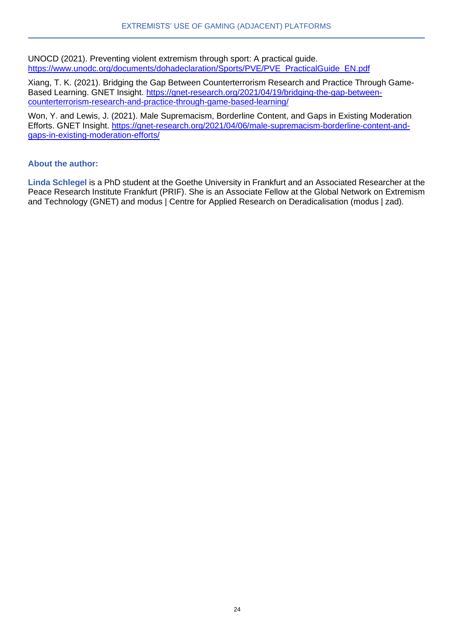UNOCD (2021). Preventing violent extremism through sport: A practical guide. [https://www.unodc.org/documents/dohadeclaration/Sports/PVE/PVE\\_PracticalGuide\\_EN.pdf](https://www.unodc.org/documents/dohadeclaration/Sports/PVE/PVE_PracticalGuide_EN.pdf)

Xiang, T. K. (2021). Bridging the Gap Between Counterterrorism Research and Practice Through GameBased Learning. GNET Insight. [https://gnet-research.org/2021/04/19/bridging-the-gap-between](https://gnet-research.org/2021/04/19/bridging-the-gap-between-counterterrorism-research-and-practice-through-game-based-learning/)[counterterrorism-research-and-practice-through-game-based-learning/](https://gnet-research.org/2021/04/19/bridging-the-gap-between-counterterrorism-research-and-practice-through-game-based-learning/)

Won, Y. and Lewis, J. (2021). Male Supremacism, Borderline Content, and Gaps in Existing Moderation Efforts. GNET Insight. [https://gnet-research.org/2021/04/06/male-supremacism-borderline-content-and](https://gnet-research.org/2021/04/06/male-supremacism-borderline-content-and-gaps-in-existing-moderation-efforts/)[gaps-in-existing-moderation-efforts/](https://gnet-research.org/2021/04/06/male-supremacism-borderline-content-and-gaps-in-existing-moderation-efforts/)

#### **About the author:**

**Linda Schlegel** is a PhD student at the Goethe University in Frankfurt and an Associated Researcher at the Peace Research Institute Frankfurt (PRIF). She is an Associate Fellow at the Global Network on Extremism and Technology (GNET) and modus | Centre for Applied Research on Deradicalisation (modus | zad).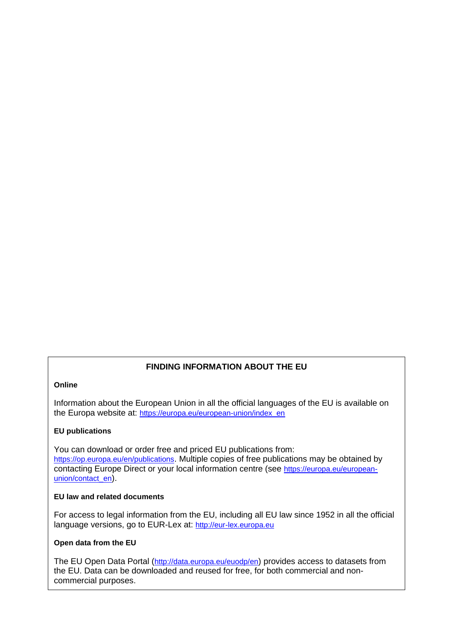#### **FINDING INFORMATION ABOUT THE EU**

#### **Online**

Information about the European Union in all the official languages of the EU is available on the Europa website at: [https://europa.eu/european-union/index\\_en](https://europa.eu/european-union/index_en)

#### **EU publications**

You can download or order free and priced EU publications from: <https://op.europa.eu/en/publications>. Multiple copies of free publications may be obtained by contacting Europe Direct or your local information centre (see [https://europa.eu/european](https://europa.eu/european-union/contact_en)[union/contact\\_en](https://europa.eu/european-union/contact_en)).

#### **EU law and related documents**

For access to legal information from the EU, including all EU law since 1952 in all the official language versions, go to EUR-Lex at: [http://eur-lex.europa.eu](http://eur-lex.europa.eu/)

#### **Open data from the EU**

The EU Open Data Portal (<http://data.europa.eu/euodp/en>) provides access to datasets from the EU. Data can be downloaded and reused for free, for both commercial and noncommercial purposes.